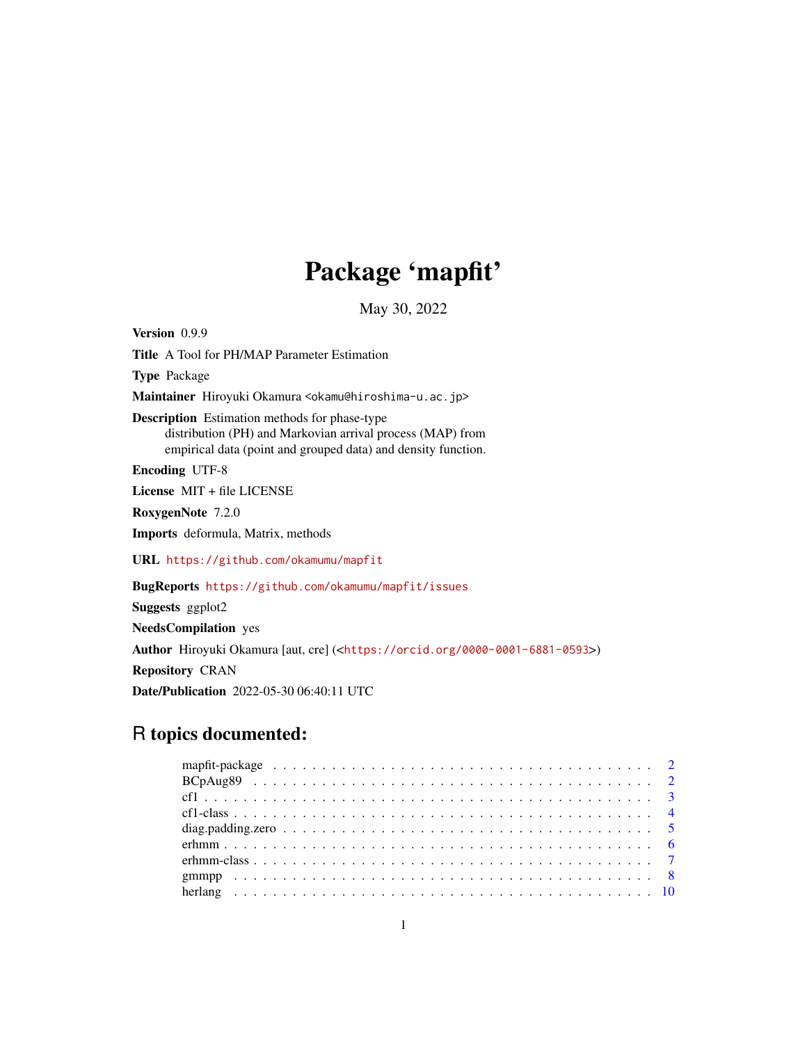# Package 'mapfit'

May 30, 2022

Version 0.9.9 Title A Tool for PH/MAP Parameter Estimation Type Package Maintainer Hiroyuki Okamura <okamu@hiroshima-u.ac.jp> Description Estimation methods for phase-type distribution (PH) and Markovian arrival process (MAP) from empirical data (point and grouped data) and density function. Encoding UTF-8 License MIT + file LICENSE RoxygenNote 7.2.0 Imports deformula, Matrix, methods URL <https://github.com/okamumu/mapfit> BugReports <https://github.com/okamumu/mapfit/issues> Suggests ggplot2 NeedsCompilation yes Author Hiroyuki Okamura [aut, cre] (<<https://orcid.org/0000-0001-6881-0593>>) Repository CRAN

Date/Publication 2022-05-30 06:40:11 UTC

# R topics documented: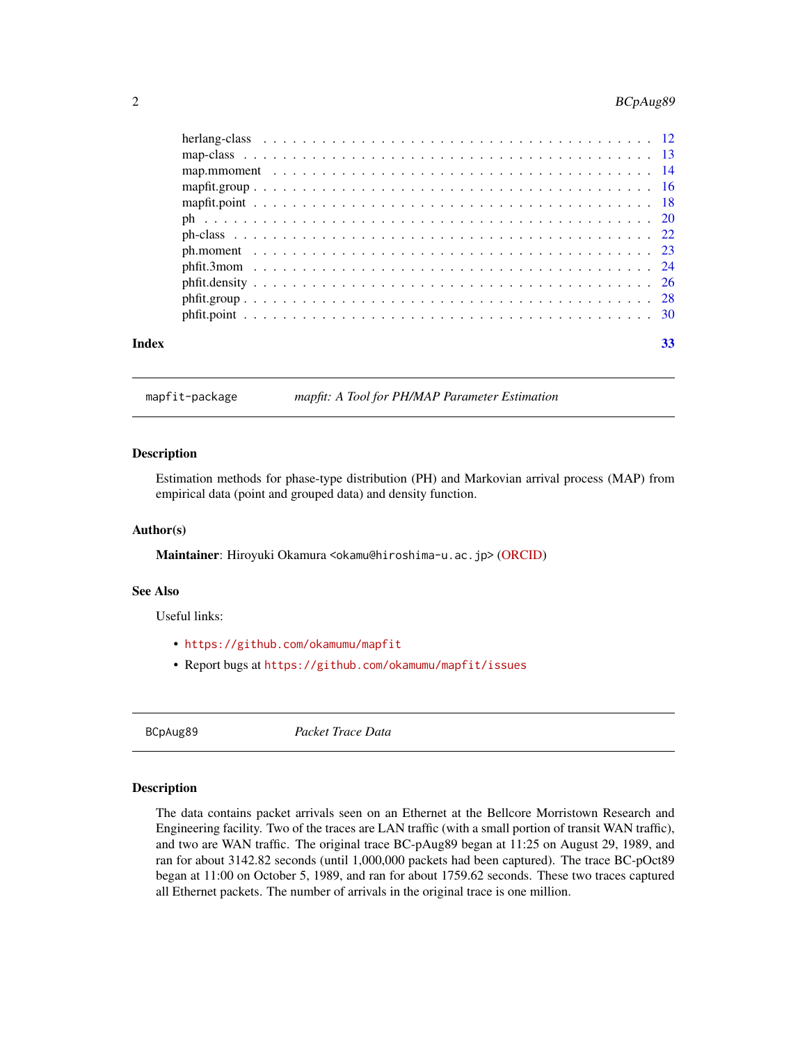# <span id="page-1-0"></span>2 BCpAug89

| Index |  | 33 |
|-------|--|----|

mapfit-package *mapfit: A Tool for PH/MAP Parameter Estimation*

#### Description

Estimation methods for phase-type distribution (PH) and Markovian arrival process (MAP) from empirical data (point and grouped data) and density function.

#### Author(s)

Maintainer: Hiroyuki Okamura <okamu@hiroshima-u.ac.jp> [\(ORCID\)](https://orcid.org/0000-0001-6881-0593)

#### See Also

Useful links:

- <https://github.com/okamumu/mapfit>
- Report bugs at <https://github.com/okamumu/mapfit/issues>

BCpAug89 *Packet Trace Data*

#### Description

The data contains packet arrivals seen on an Ethernet at the Bellcore Morristown Research and Engineering facility. Two of the traces are LAN traffic (with a small portion of transit WAN traffic), and two are WAN traffic. The original trace BC-pAug89 began at 11:25 on August 29, 1989, and ran for about 3142.82 seconds (until 1,000,000 packets had been captured). The trace BC-pOct89 began at 11:00 on October 5, 1989, and ran for about 1759.62 seconds. These two traces captured all Ethernet packets. The number of arrivals in the original trace is one million.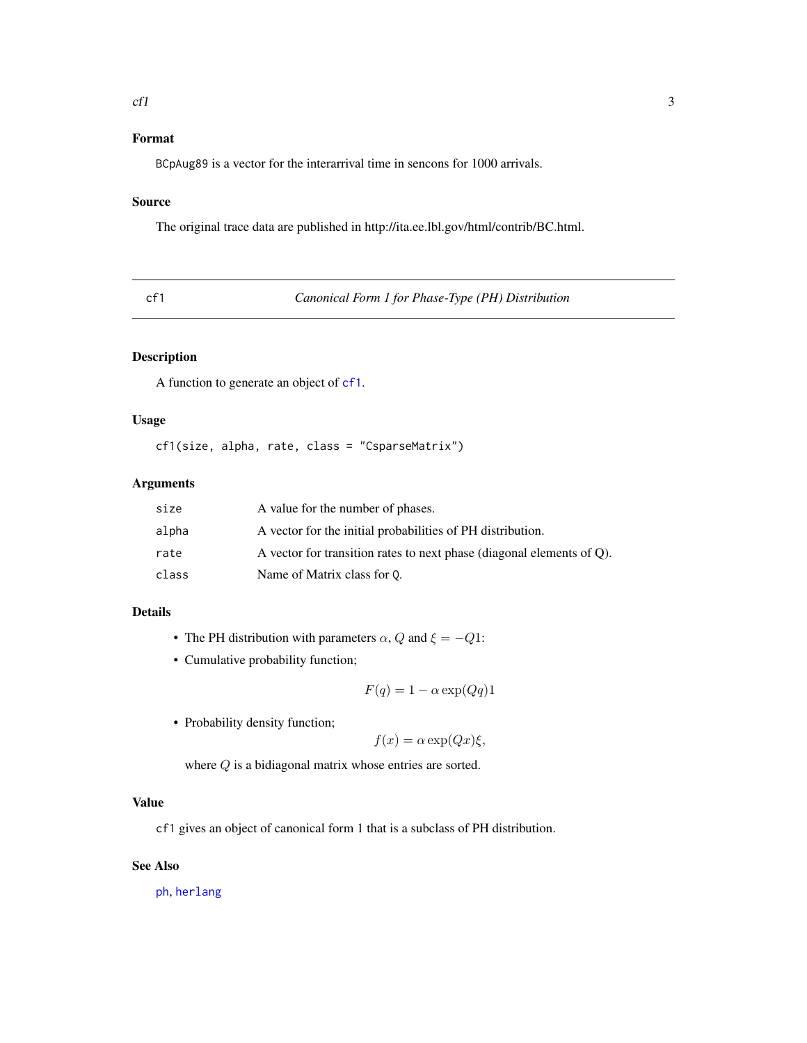#### <span id="page-2-0"></span> $cf1$  3

# Format

BCpAug89 is a vector for the interarrival time in sencons for 1000 arrivals.

#### Source

The original trace data are published in http://ita.ee.lbl.gov/html/contrib/BC.html.

<span id="page-2-1"></span>cf1 *Canonical Form 1 for Phase-Type (PH) Distribution*

# Description

A function to generate an object of [cf1](#page-3-1).

# Usage

cf1(size, alpha, rate, class = "CsparseMatrix")

#### Arguments

| size  | A value for the number of phases.                                     |
|-------|-----------------------------------------------------------------------|
| alpha | A vector for the initial probabilities of PH distribution.            |
| rate  | A vector for transition rates to next phase (diagonal elements of Q). |
| class | Name of Matrix class for 0.                                           |

# Details

- The PH distribution with parameters  $\alpha$ , Q and  $\xi = -Q1$ :
- Cumulative probability function;

$$
F(q) = 1 - \alpha \exp(Qq)1
$$

• Probability density function;

$$
f(x) = \alpha \exp(Qx)\xi,
$$

where  $Q$  is a bidiagonal matrix whose entries are sorted.

# Value

cf1 gives an object of canonical form 1 that is a subclass of PH distribution.

#### See Also

[ph](#page-19-1), [herlang](#page-9-1)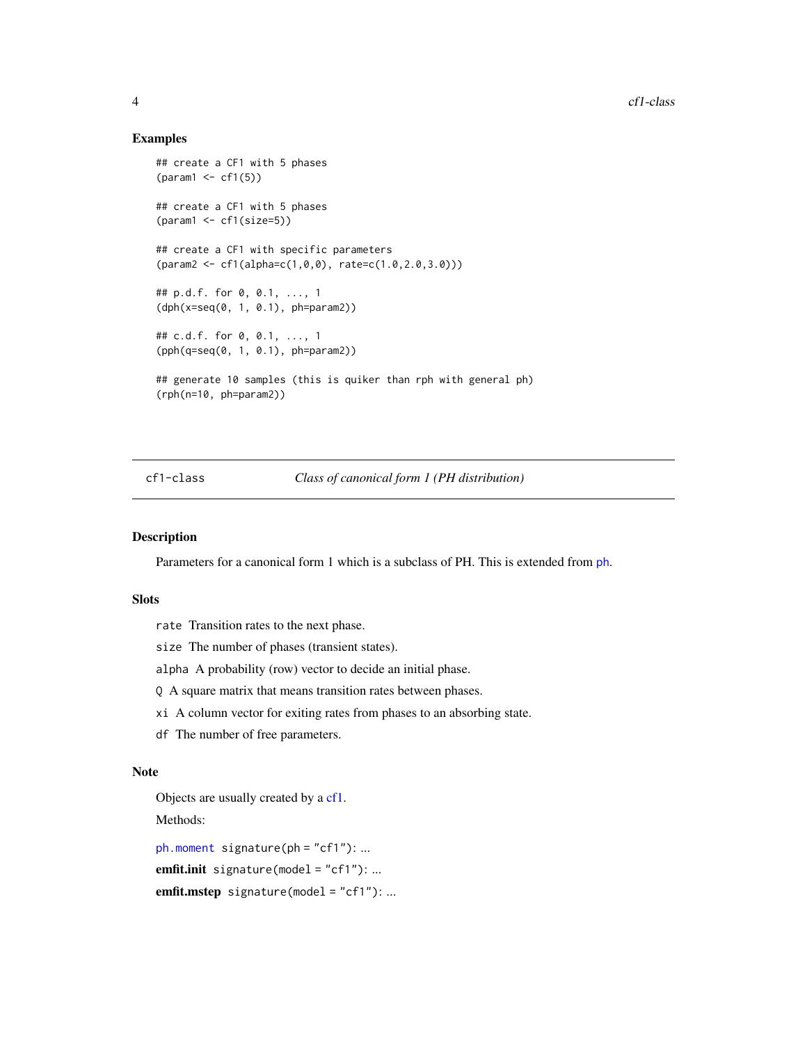#### Examples

```
## create a CF1 with 5 phases
{\text{qaram1} \leftarrow \text{cf1}(5)}## create a CF1 with 5 phases
(parent < - cf1(size=5))## create a CF1 with specific parameters
(param2 <- cf1(alpha=c(1,0,0), rate=c(1.0,2.0,3.0)))
## p.d.f. for 0, 0.1, ..., 1
(dph(x=seq(0, 1, 0.1), ph=param2))
## c.d.f. for 0, 0.1, ..., 1
(pph(q=seq(0, 1, 0.1), ph=param2))
## generate 10 samples (this is quiker than rph with general ph)
(rph(n=10, ph=param2))
```
# <span id="page-3-1"></span>cf1-class *Class of canonical form 1 (PH distribution)*

# Description

Parameters for a canonical form 1 which is a subclass of PH. This is extended from [ph](#page-21-1).

#### Slots

rate Transition rates to the next phase.

size The number of phases (transient states).

alpha A probability (row) vector to decide an initial phase.

Q A square matrix that means transition rates between phases.

xi A column vector for exiting rates from phases to an absorbing state.

df The number of free parameters.

#### Note

Objects are usually created by a [cf1.](#page-2-1)

Methods:

[ph.moment](#page-22-1) signature(ph = "cf1"): ... emfit.init signature(model = "cf1"): ... emfit.mstep signature(model = "cf1"): ...

<span id="page-3-0"></span>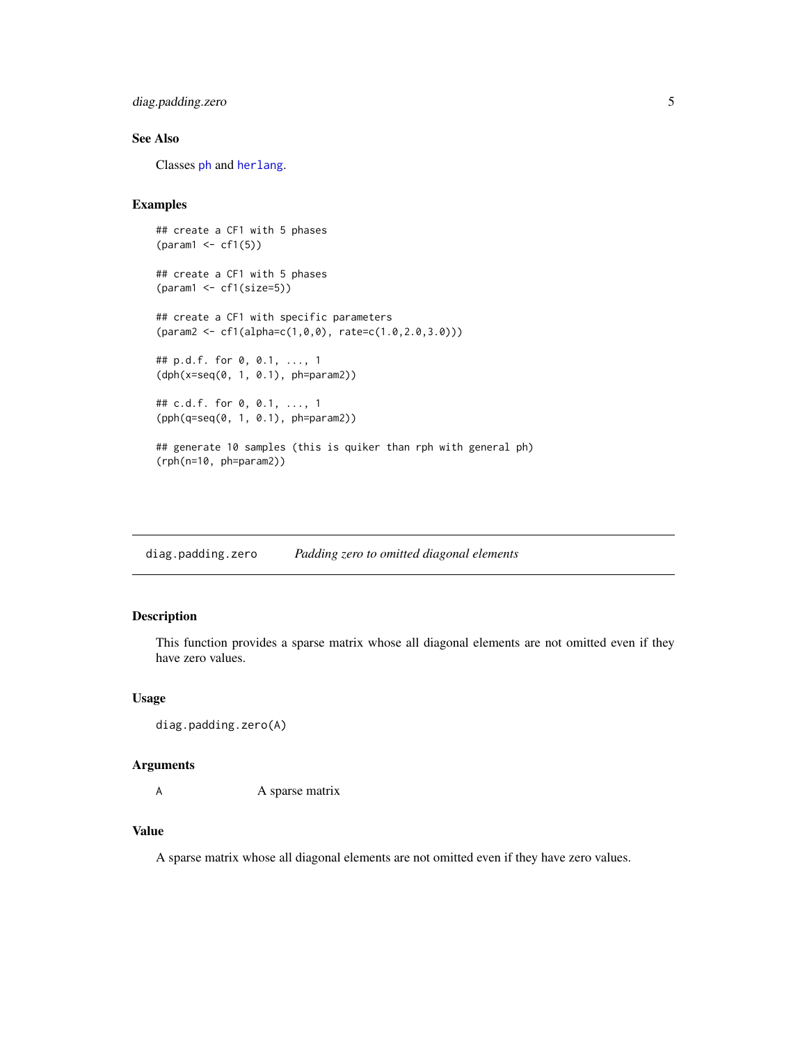# <span id="page-4-0"></span>diag.padding.zero 5

# See Also

Classes [ph](#page-21-1) and [herlang](#page-11-1).

#### Examples

```
## create a CF1 with 5 phases
(param1 <- cf1(5))
## create a CF1 with 5 phases
(param1 <- cf1(size=5))
## create a CF1 with specific parameters
(param2 <- cf1(alpha=c(1,0,0), rate=c(1.0,2.0,3.0)))
## p.d.f. for 0, 0.1, ..., 1
(dph(x=seq(0, 1, 0.1), ph=param2))
## c.d.f. for 0, 0.1, ..., 1
(pph(q=seq(0, 1, 0.1), ph=param2))
## generate 10 samples (this is quiker than rph with general ph)
(rph(n=10, ph=param2))
```
diag.padding.zero *Padding zero to omitted diagonal elements*

#### Description

This function provides a sparse matrix whose all diagonal elements are not omitted even if they have zero values.

#### Usage

```
diag.padding.zero(A)
```
#### Arguments

A A sparse matrix

#### Value

A sparse matrix whose all diagonal elements are not omitted even if they have zero values.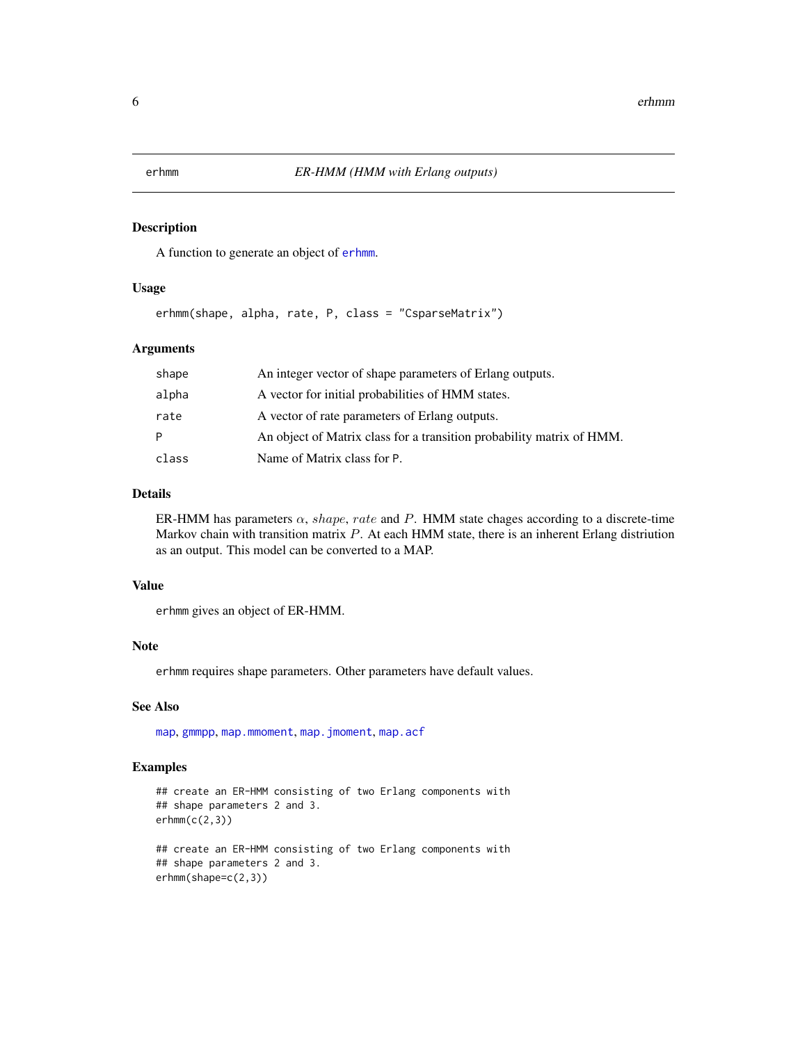#### <span id="page-5-1"></span><span id="page-5-0"></span>Description

A function to generate an object of [erhmm](#page-6-1).

#### Usage

erhmm(shape, alpha, rate, P, class = "CsparseMatrix")

# Arguments

| shape | An integer vector of shape parameters of Erlang outputs.              |
|-------|-----------------------------------------------------------------------|
| alpha | A vector for initial probabilities of HMM states.                     |
| rate  | A vector of rate parameters of Erlang outputs.                        |
| P     | An object of Matrix class for a transition probability matrix of HMM. |
| class | Name of Matrix class for P.                                           |

#### Details

ER-HMM has parameters  $\alpha$ , shape, rate and P. HMM state chages according to a discrete-time Markov chain with transition matrix  $P$ . At each HMM state, there is an inherent Erlang distriution as an output. This model can be converted to a MAP.

#### Value

erhmm gives an object of ER-HMM.

#### Note

erhmm requires shape parameters. Other parameters have default values.

#### See Also

[map](#page-7-1), [gmmpp](#page-7-2), [map.mmoment](#page-13-1), [map.jmoment](#page-13-2), [map.acf](#page-13-2)

```
## create an ER-HMM consisting of two Erlang components with
## shape parameters 2 and 3.
erhmm(c(2,3))## create an ER-HMM consisting of two Erlang components with
## shape parameters 2 and 3.
erhmm(shape=c(2,3))
```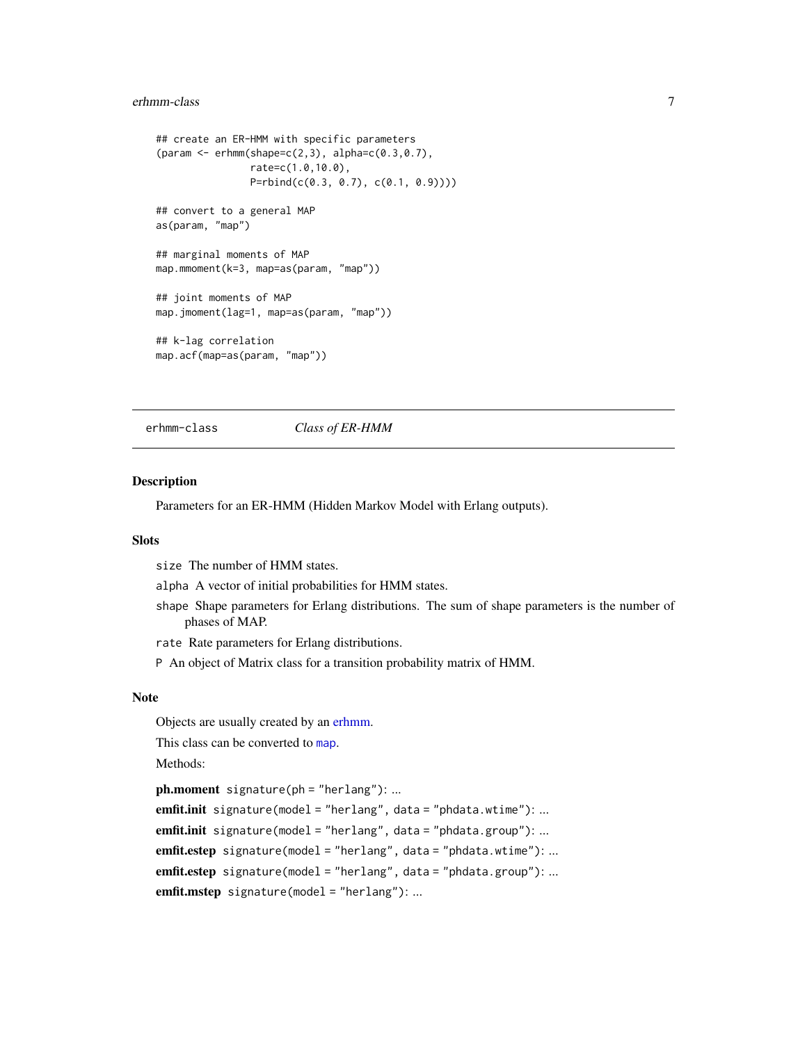#### <span id="page-6-0"></span>erhmm-class 7

```
## create an ER-HMM with specific parameters
(param <-erhmm(shape=c(2,3), alpha=c(0.3,0.7)),rate=c(1.0,10.0),
                P=rbind(c(0.3, 0.7), c(0.1, 0.9))))
## convert to a general MAP
as(param, "map")
## marginal moments of MAP
map.mmoment(k=3, map=as(param, "map"))
## joint moments of MAP
map.jmoment(lag=1, map=as(param, "map"))
## k-lag correlation
map.acf(map=as(param, "map"))
```
<span id="page-6-1"></span>

erhmm-class *Class of ER-HMM*

#### Description

Parameters for an ER-HMM (Hidden Markov Model with Erlang outputs).

#### Slots

size The number of HMM states.

alpha A vector of initial probabilities for HMM states.

shape Shape parameters for Erlang distributions. The sum of shape parameters is the number of phases of MAP.

rate Rate parameters for Erlang distributions.

P An object of Matrix class for a transition probability matrix of HMM.

#### Note

Objects are usually created by an [erhmm.](#page-5-1)

This class can be converted to [map](#page-12-1).

Methods:

```
ph.moment signature(ph = "herlang"): ...
emfit.init signature(model = "herlang", data = "phdata.wtime"): ...
emfit.init signature(model = "herlang", data = "phdata.group"): ...
emfit.estep signature(model = "herlang", data = "phdata.wtime"): ...
emfit.estep signature(model = "herlang", data = "phdata.group"): ...
emfit.mstep signature(model = "herlang"): ...
```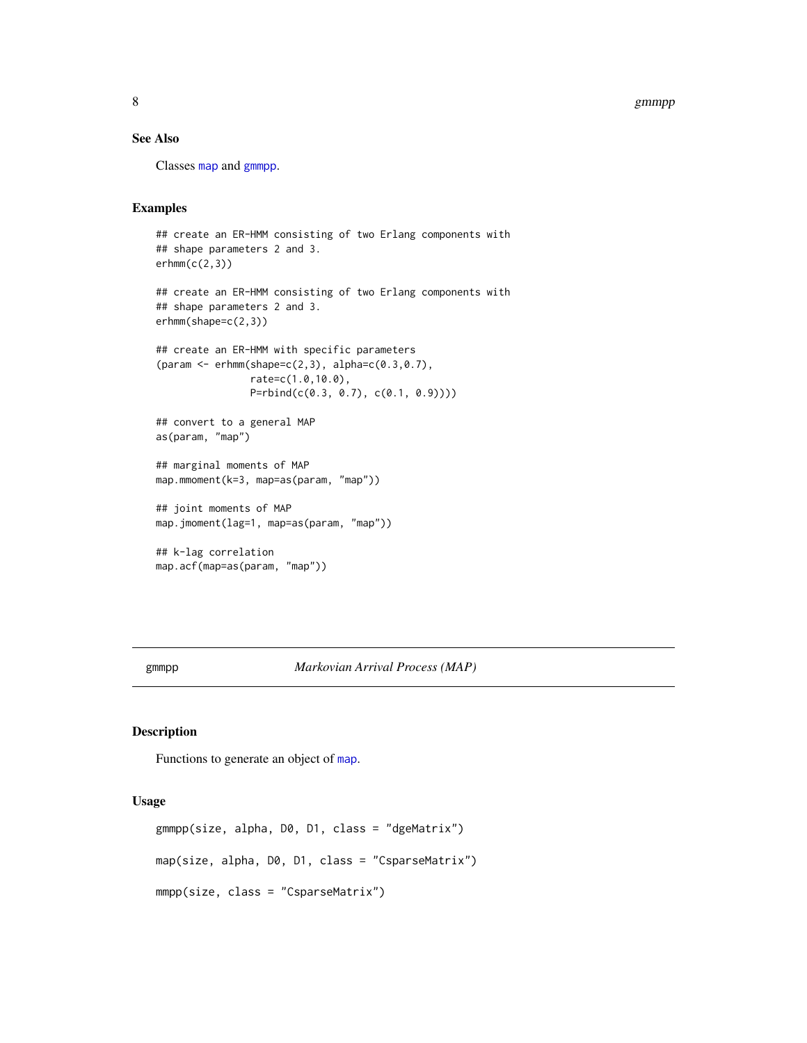#### <span id="page-7-0"></span>8 gmmpp and the state of the state of the state of the state of the state of the state of the state of the state of the state of the state of the state of the state of the state of the state of the state of the state of th

# See Also

Classes [map](#page-12-1) and [gmmpp](#page-12-2).

#### Examples

```
## create an ER-HMM consisting of two Erlang components with
## shape parameters 2 and 3.
erhmm(c(2,3))## create an ER-HMM consisting of two Erlang components with
## shape parameters 2 and 3.
erhmm(shape=c(2,3))
## create an ER-HMM with specific parameters
(param <- erhmm(shape=c(2,3), alpha=c(0.3,0.7),
                rate=c(1.0,10.0),
                P=rbind(c(0.3, 0.7), c(0.1, 0.9))))
## convert to a general MAP
as(param, "map")
## marginal moments of MAP
map.mmoment(k=3, map=as(param, "map"))
## joint moments of MAP
map.jmoment(lag=1, map=as(param, "map"))
## k-lag correlation
map.acf(map=as(param, "map"))
```
<span id="page-7-2"></span>gmmpp *Markovian Arrival Process (MAP)*

#### <span id="page-7-1"></span>Description

Functions to generate an object of [map](#page-12-1).

#### Usage

```
gmmpp(size, alpha, D0, D1, class = "dgeMatrix")
map(size, alpha, D0, D1, class = "CsparseMatrix")
mmpp(size, class = "CsparseMatrix")
```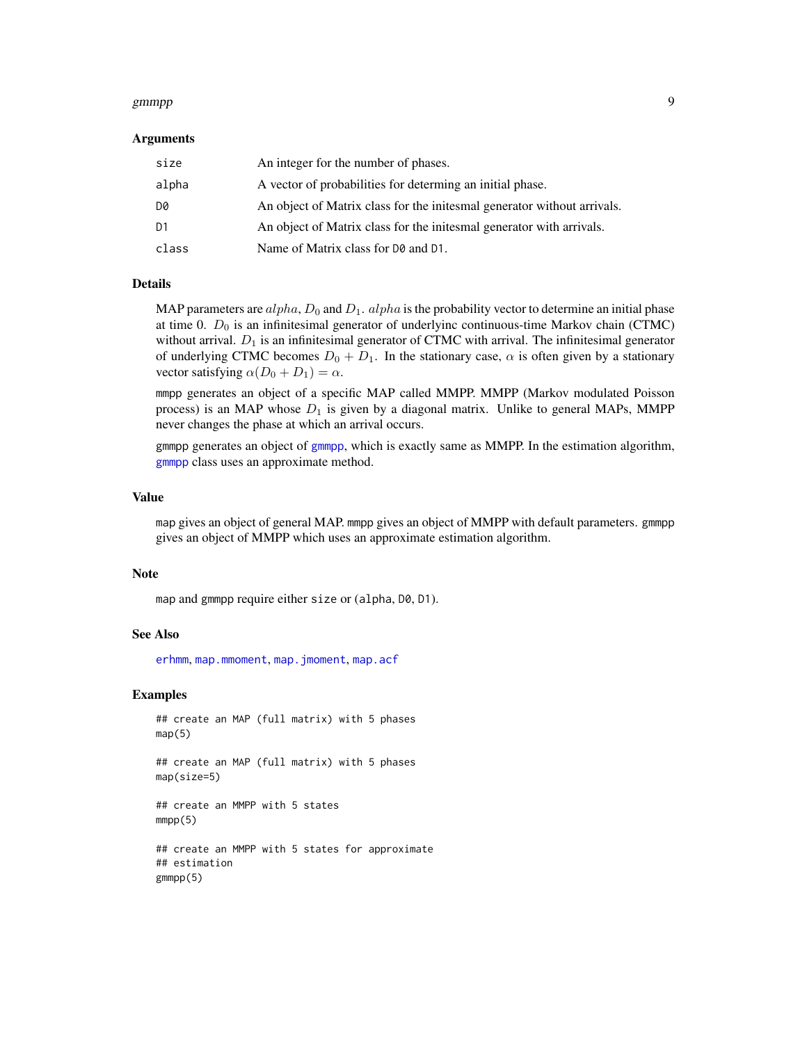#### <span id="page-8-0"></span>gmmpp 9

#### Arguments

| size           | An integer for the number of phases.                                    |
|----------------|-------------------------------------------------------------------------|
| alpha          | A vector of probabilities for determing an initial phase.               |
| D0             | An object of Matrix class for the initesmal generator without arrivals. |
| D <sub>1</sub> | An object of Matrix class for the initesmal generator with arrivals.    |
| class          | Name of Matrix class for D0 and D1.                                     |

#### Details

MAP parameters are  $alpha, D_0$  and  $D_1$ .  $alpha$  is the probability vector to determine an initial phase at time 0.  $D_0$  is an infinitesimal generator of underlyinc continuous-time Markov chain (CTMC) without arrival.  $D_1$  is an infinitesimal generator of CTMC with arrival. The infinitesimal generator of underlying CTMC becomes  $D_0 + D_1$ . In the stationary case,  $\alpha$  is often given by a stationary vector satisfying  $\alpha(D_0 + D_1) = \alpha$ .

mmpp generates an object of a specific MAP called MMPP. MMPP (Markov modulated Poisson process) is an MAP whose  $D_1$  is given by a diagonal matrix. Unlike to general MAPs, MMPP never changes the phase at which an arrival occurs.

gmmpp generates an object of [gmmpp](#page-12-2), which is exactly same as MMPP. In the estimation algorithm, [gmmpp](#page-12-2) class uses an approximate method.

#### Value

map gives an object of general MAP. mmpp gives an object of MMPP with default parameters. gmmpp gives an object of MMPP which uses an approximate estimation algorithm.

#### Note

map and gmmpp require either size or (alpha, D0, D1).

#### See Also

[erhmm](#page-5-1), [map.mmoment](#page-13-1), [map.jmoment](#page-13-2), [map.acf](#page-13-2)

```
## create an MAP (full matrix) with 5 phases
map(5)## create an MAP (full matrix) with 5 phases
map(size=5)
## create an MMPP with 5 states
mmpp(5)## create an MMPP with 5 states for approximate
## estimation
gmmpp(5)
```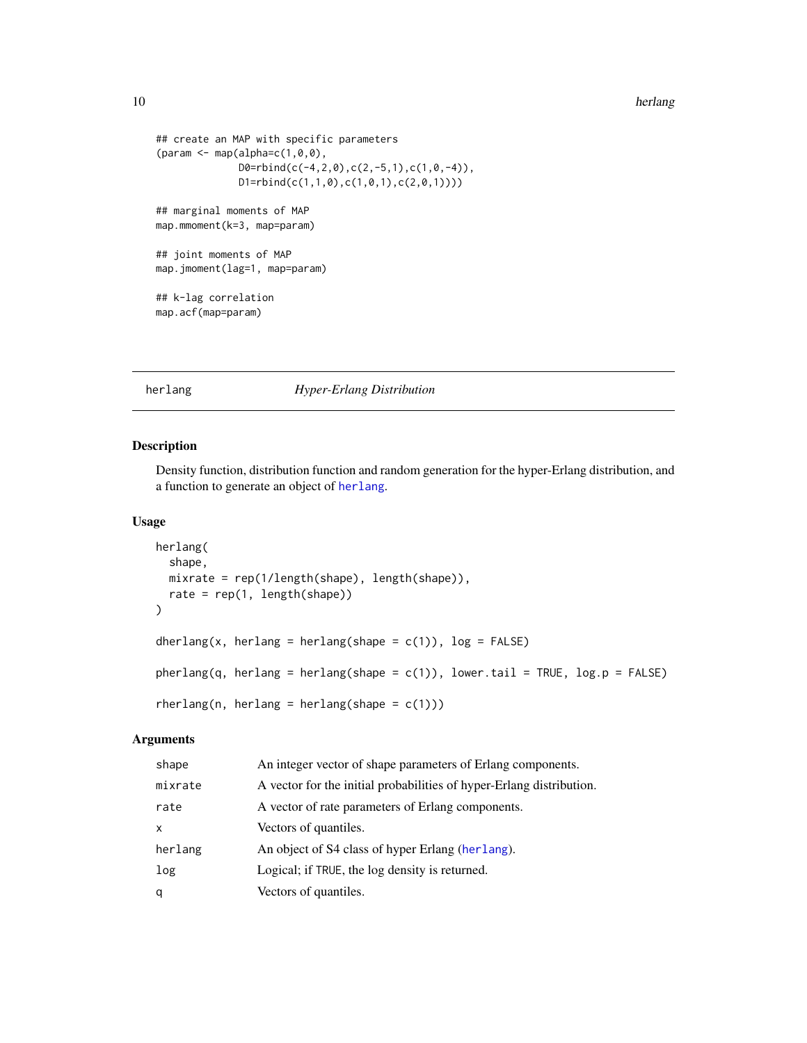#### <span id="page-9-0"></span>10 herlang and the state of the state of the state of the state of the state of the state of the state of the state of the state of the state of the state of the state of the state of the state of the state of the state of

```
## create an MAP with specific parameters
{\text{qaram} < - \text{map}(\text{alpha}=c(1,0,0), \text{q}}D0 = rbind(c(-4, 2, 0), c(2, -5, 1), c(1, 0, -4)),D1 = r \text{bind}(c(1,1,0),c(1,0,1),c(2,0,1))))## marginal moments of MAP
map.mmoment(k=3, map=param)
## joint moments of MAP
map.jmoment(lag=1, map=param)
## k-lag correlation
map.acf(map=param)
```
# <span id="page-9-1"></span>herlang *Hyper-Erlang Distribution*

#### Description

Density function, distribution function and random generation for the hyper-Erlang distribution, and a function to generate an object of [herlang](#page-11-1).

# Usage

```
herlang(
  shape,
 mixrate = rep(1/length(shape), length(shape)),
 rate = rep(1, length(shape)))
dherlang(x, herlang = herlang(shape = c(1)), log = FALSE)
pherlang(q, herlang = herlang(shape = c(1)), lower.tail = TRUE, log.p = FALSE)
rherlang(n, herlang = herlang(shape = c(1)))
```
# Arguments

| shape   | An integer vector of shape parameters of Erlang components.          |
|---------|----------------------------------------------------------------------|
| mixrate | A vector for the initial probabilities of hyper-Erlang distribution. |
| rate    | A vector of rate parameters of Erlang components.                    |
| x       | Vectors of quantiles.                                                |
| herlang | An object of S4 class of hyper Erlang (herlang).                     |
| log     | Logical; if TRUE, the log density is returned.                       |
| q       | Vectors of quantiles.                                                |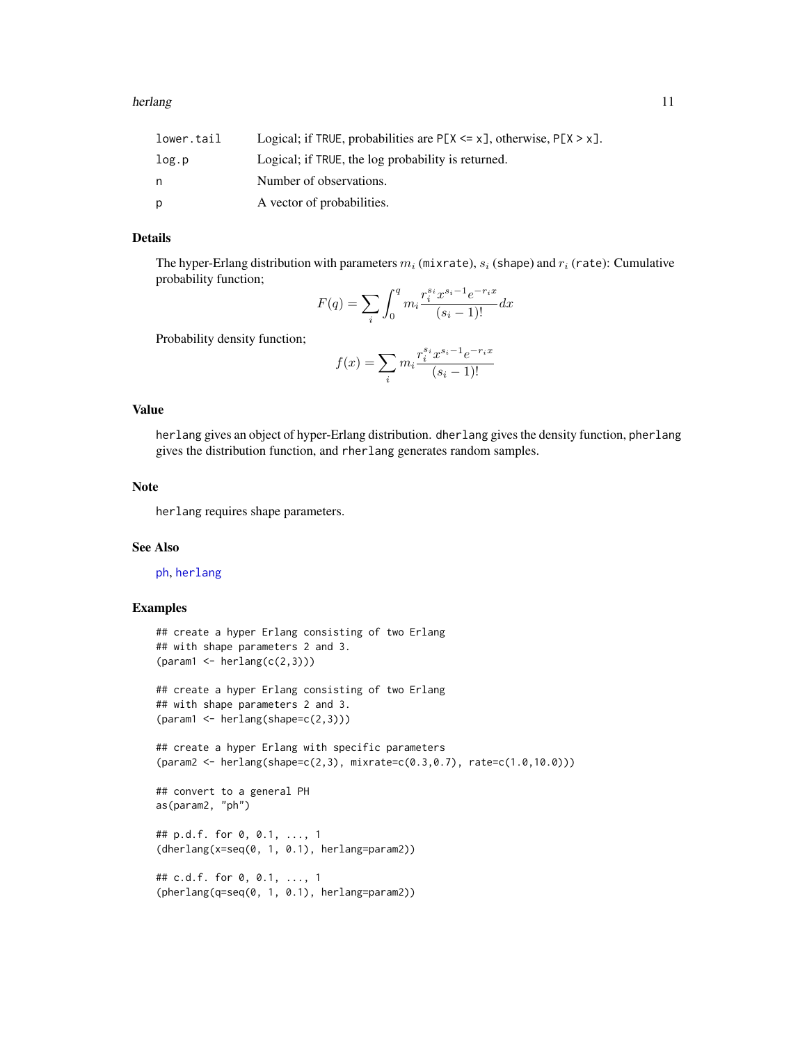<span id="page-10-0"></span>

| lower.tail | Logical; if TRUE, probabilities are $P[X \le x]$ , otherwise, $P[X \ge x]$ . |
|------------|------------------------------------------------------------------------------|
| log.p      | Logical; if TRUE, the log probability is returned.                           |
| n          | Number of observations.                                                      |
| D          | A vector of probabilities.                                                   |

# Details

The hyper-Erlang distribution with parameters  $m_i$  (mixrate),  $s_i$  (shape) and  $r_i$  (rate): Cumulative probability function;

$$
F(q) = \sum_{i} \int_{0}^{q} m_{i} \frac{r_{i}^{s_{i}} x^{s_{i} - 1} e^{-r_{i}x}}{(s_{i} - 1)!} dx
$$

Probability density function;

$$
f(x) = \sum_{i} m_i \frac{r_i^{s_i} x^{s_i - 1} e^{-r_i x}}{(s_i - 1)!}
$$

#### Value

herlang gives an object of hyper-Erlang distribution. dherlang gives the density function, pherlang gives the distribution function, and rherlang generates random samples.

#### Note

herlang requires shape parameters.

#### See Also

[ph](#page-19-1), [herlang](#page-9-1)

```
## create a hyper Erlang consisting of two Erlang
## with shape parameters 2 and 3.
(param1 \leftarrow herlang(c(2,3)))## create a hyper Erlang consisting of two Erlang
## with shape parameters 2 and 3.
(param1 < - herlang(shape=c(2,3)))## create a hyper Erlang with specific parameters
(param2 <- herlang(shape=c(2,3), mixrate=c(0.3,0.7), rate=c(1.0,10.0)))
## convert to a general PH
as(param2, "ph")
## p.d.f. for 0, 0.1, ..., 1
(dherlang(x=seq(0, 1, 0.1), herlang=param2))
## c.d.f. for 0, 0.1, ..., 1
(pherlang(q=seq(0, 1, 0.1), herlang=param2))
```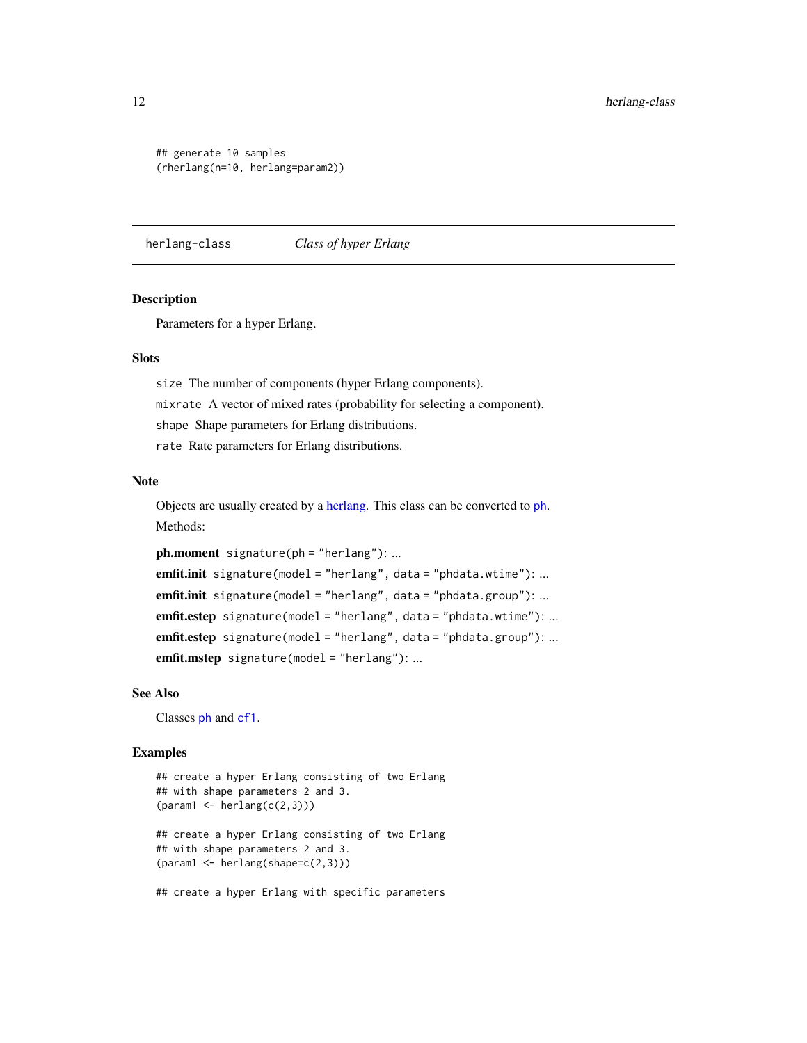## generate 10 samples (rherlang(n=10, herlang=param2))

<span id="page-11-1"></span>herlang-class *Class of hyper Erlang*

#### **Description**

Parameters for a hyper Erlang.

#### **Slots**

size The number of components (hyper Erlang components). mixrate A vector of mixed rates (probability for selecting a component). shape Shape parameters for Erlang distributions. rate Rate parameters for Erlang distributions.

# Note

Objects are usually created by a [herlang.](#page-9-1) This class can be converted to [ph](#page-21-1). Methods:

ph.moment signature(ph = "herlang"): ... emfit.init signature(model = "herlang", data = "phdata.wtime"): ... emfit.init signature(model = "herlang", data = "phdata.group"): ... emfit.estep signature(model = "herlang", data = "phdata.wtime"): ... emfit.estep signature(model = "herlang", data = "phdata.group"): ... emfit.mstep signature(model = "herlang"): ...

#### See Also

Classes [ph](#page-21-1) and [cf1](#page-3-1).

```
## create a hyper Erlang consisting of two Erlang
## with shape parameters 2 and 3.
(param1 \leftarrow herlang(c(2,3)))## create a hyper Erlang consisting of two Erlang
## with shape parameters 2 and 3.
(param1 \leftarrow herlang(shape=c(2,3)))## create a hyper Erlang with specific parameters
```
<span id="page-11-0"></span>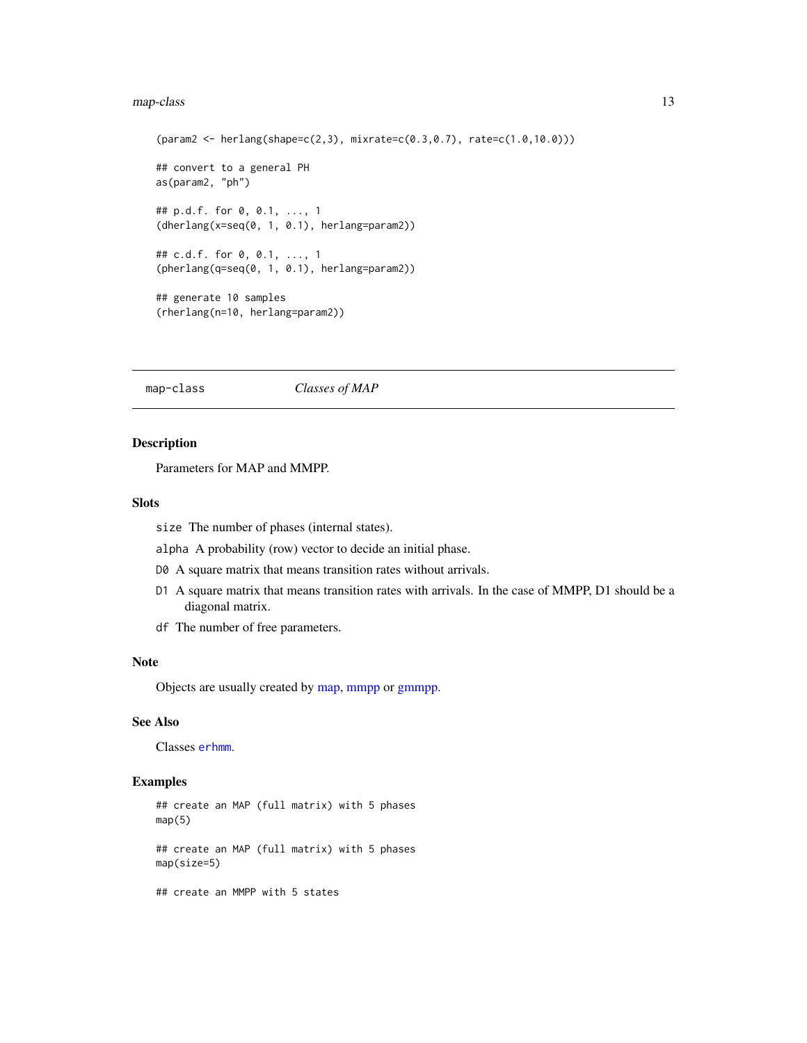#### <span id="page-12-0"></span>map-class and the contract of the contract of the contract of the contract of the contract of the contract of the contract of the contract of the contract of the contract of the contract of the contract of the contract of

```
(param2 <- herlang(shape=c(2,3), mixrate=c(0.3,0.7), rate=c(1.0,10.0)))
## convert to a general PH
as(param2, "ph")
## p.d.f. for 0, 0.1, ..., 1
(dherlang(x=seq(0, 1, 0.1), herlang=param2))
## c.d.f. for 0, 0.1, ..., 1
(pherlang(q=seq(0, 1, 0.1), herlang=param2))
## generate 10 samples
(rherlang(n=10, herlang=param2))
```
<span id="page-12-1"></span>map-class *Classes of MAP*

# <span id="page-12-2"></span>Description

Parameters for MAP and MMPP.

#### Slots

size The number of phases (internal states).

alpha A probability (row) vector to decide an initial phase.

- D0 A square matrix that means transition rates without arrivals.
- D1 A square matrix that means transition rates with arrivals. In the case of MMPP, D1 should be a diagonal matrix.
- df The number of free parameters.

#### Note

Objects are usually created by [map,](#page-7-1) [mmpp](#page-7-1) or [gmmpp.](#page-7-2)

#### See Also

Classes [erhmm](#page-6-1).

# Examples

## create an MAP (full matrix) with 5 phases  $map(5)$ ## create an MAP (full matrix) with 5 phases map(size=5)

## create an MMPP with 5 states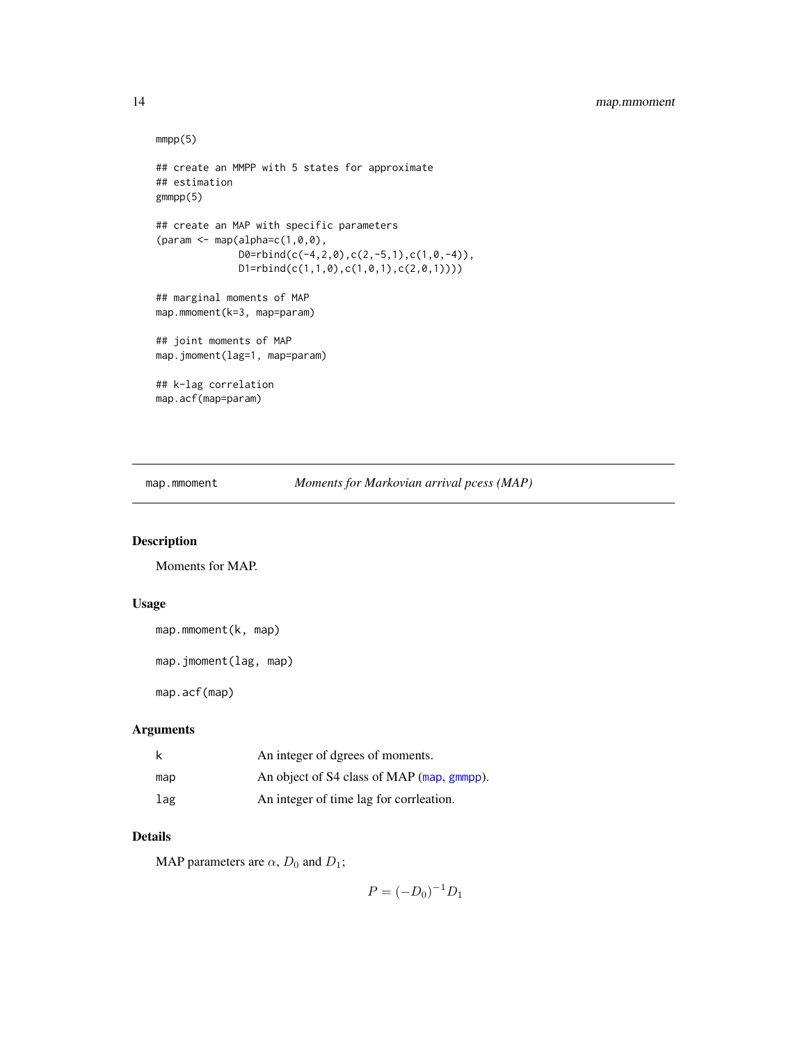```
mmp(5)## create an MMPP with 5 states for approximate
## estimation
gmmpp(5)
## create an MAP with specific parameters
{\rm (param \leftarrow map(alpha=c(1,0,0),}D0 = rbind(c(-4, 2, 0), c(2, -5, 1), c(1, 0, -4)),D1=rbind(c(1,1,0),c(1,0,1),c(2,0,1))))
## marginal moments of MAP
map.mmoment(k=3, map=param)
## joint moments of MAP
map.jmoment(lag=1, map=param)
## k-lag correlation
map.acf(map=param)
```
<span id="page-13-1"></span>map.mmoment *Moments for Markovian arrival pcess (MAP)*

# <span id="page-13-2"></span>Description

Moments for MAP.

#### Usage

```
map.mmoment(k, map)
```

```
map.jmoment(lag, map)
```
map.acf(map)

#### Arguments

|     | An integer of dgrees of moments.           |
|-----|--------------------------------------------|
| map | An object of S4 class of MAP (map, gmmpp). |
| lag | An integer of time lag for corrilection.   |

# Details

MAP parameters are  $\alpha$ ,  $D_0$  and  $D_1$ ;

 $P = (-D_0)^{-1}D_1$ 

<span id="page-13-0"></span>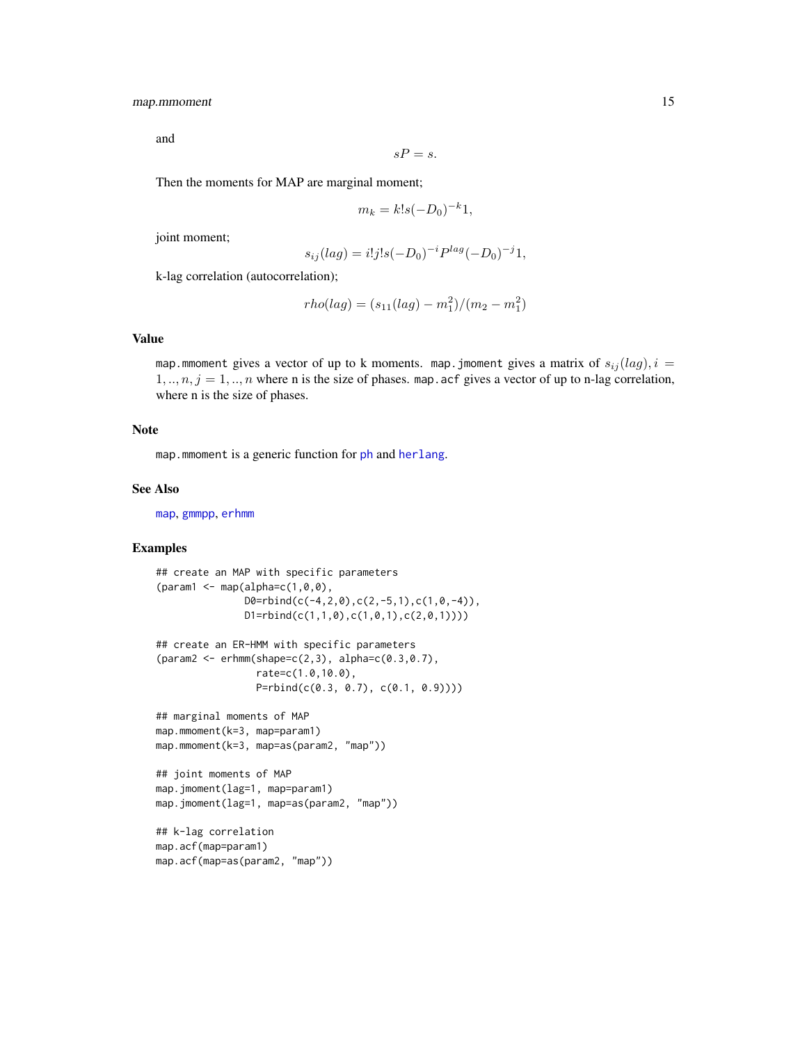# <span id="page-14-0"></span>map.mmoment 15

and

$$
sP=s.
$$

Then the moments for MAP are marginal moment;

$$
m_k = k!s(-D_0)^{-k}1,
$$

joint moment;

$$
s_{ij}(lag) = i!j!s(-D_0)^{-i}P^{lag}(-D_0)^{-j}1,
$$

k-lag correlation (autocorrelation);

$$
rho(lag) = (s_{11}(lag) - m_1^2)/(m_2 - m_1^2)
$$

#### Value

map. mmoment gives a vector of up to k moments. map. jmoment gives a matrix of  $s_{ij}(lag)$ ,  $i =$  $1, ..., n, j = 1, ..., n$  where n is the size of phases. map. acf gives a vector of up to n-lag correlation, where n is the size of phases.

#### Note

map. mmoment is a generic function for [ph](#page-21-1) and [herlang](#page-11-1).

#### See Also

[map](#page-7-1), [gmmpp](#page-7-2), [erhmm](#page-5-1)

```
## create an MAP with specific parameters
{\rm (param1 < - map(alpha=c(1,0,0),}D0 = rbind(c(-4, 2, 0), c(2, -5, 1), c(1, 0, -4)),D1=rbind(c(1,1,0),c(1,0,1),c(2,0,1))))
## create an ER-HMM with specific parameters
(param2 <- erhmm(shape=c(2,3), alpha=c(0.3,0.7),
                 rate=c(1.0,10.0),
                 P=rbind(c(0.3, 0.7), c(0.1, 0.9))))
## marginal moments of MAP
map.mmoment(k=3, map=param1)
map.mmoment(k=3, map=as(param2, "map"))
## joint moments of MAP
map.jmoment(lag=1, map=param1)
map.jmoment(lag=1, map=as(param2, "map"))
## k-lag correlation
map.acf(map=param1)
map.acf(map=as(param2, "map"))
```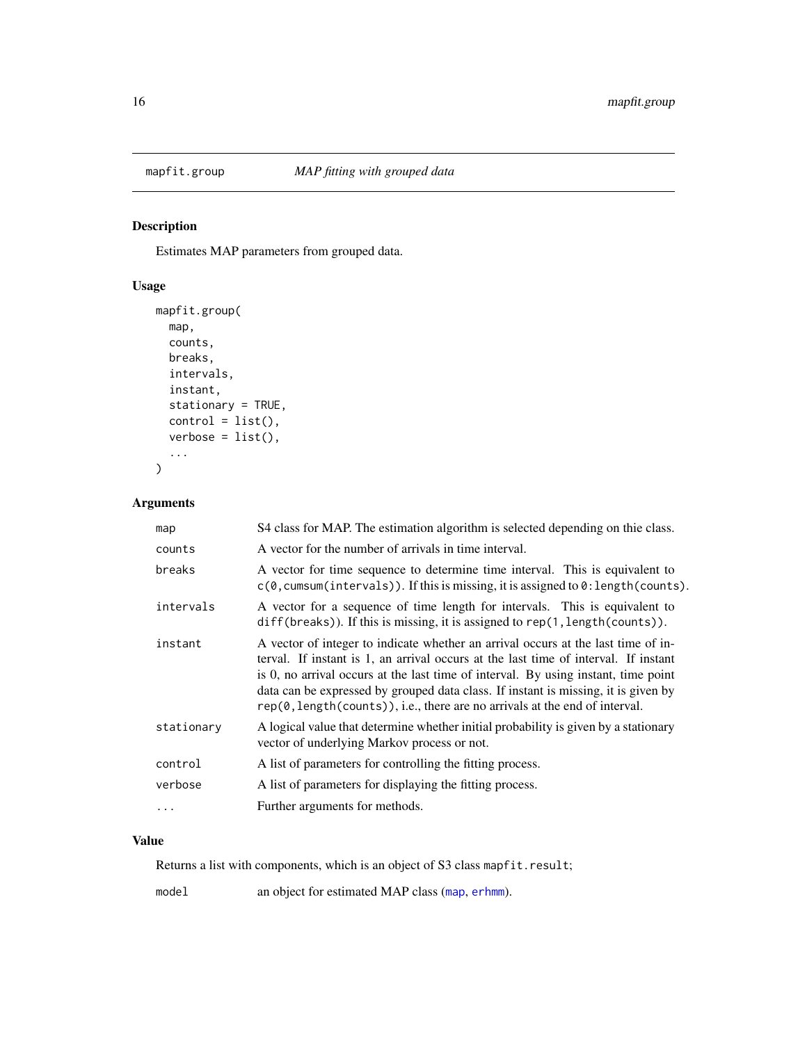<span id="page-15-1"></span><span id="page-15-0"></span>

# Description

Estimates MAP parameters from grouped data.

# Usage

```
mapfit.group(
 map,
 counts,
 breaks,
  intervals,
  instant,
  stationary = TRUE,
 control = list(),verbose = list(),...
)
```
# Arguments

| map        | S4 class for MAP. The estimation algorithm is selected depending on thie class.                                                                                                                                                                                                                                                                                                                                                     |
|------------|-------------------------------------------------------------------------------------------------------------------------------------------------------------------------------------------------------------------------------------------------------------------------------------------------------------------------------------------------------------------------------------------------------------------------------------|
| counts     | A vector for the number of arrivals in time interval.                                                                                                                                                                                                                                                                                                                                                                               |
| breaks     | A vector for time sequence to determine time interval. This is equivalent to<br>$c(\emptyset, \text{cum}(\text{intervals})).$ If this is missing, it is assigned to $\emptyset$ : length(counts).                                                                                                                                                                                                                                   |
| intervals  | A vector for a sequence of time length for intervals. This is equivalent to<br>diff(breaks)). If this is missing, it is assigned to rep(1, length(counts)).                                                                                                                                                                                                                                                                         |
| instant    | A vector of integer to indicate whether an arrival occurs at the last time of in-<br>terval. If instant is 1, an arrival occurs at the last time of interval. If instant<br>is 0, no arrival occurs at the last time of interval. By using instant, time point<br>data can be expressed by grouped data class. If instant is missing, it is given by<br>rep(0, length(counts)), i.e., there are no arrivals at the end of interval. |
| stationary | A logical value that determine whether initial probability is given by a stationary<br>vector of underlying Markov process or not.                                                                                                                                                                                                                                                                                                  |
| control    | A list of parameters for controlling the fitting process.                                                                                                                                                                                                                                                                                                                                                                           |
| verbose    | A list of parameters for displaying the fitting process.                                                                                                                                                                                                                                                                                                                                                                            |
| .          | Further arguments for methods.                                                                                                                                                                                                                                                                                                                                                                                                      |

# Value

Returns a list with components, which is an object of S3 class mapfit.result;

model an object for estimated MAP class ([map](#page-12-1), [erhmm](#page-6-1)).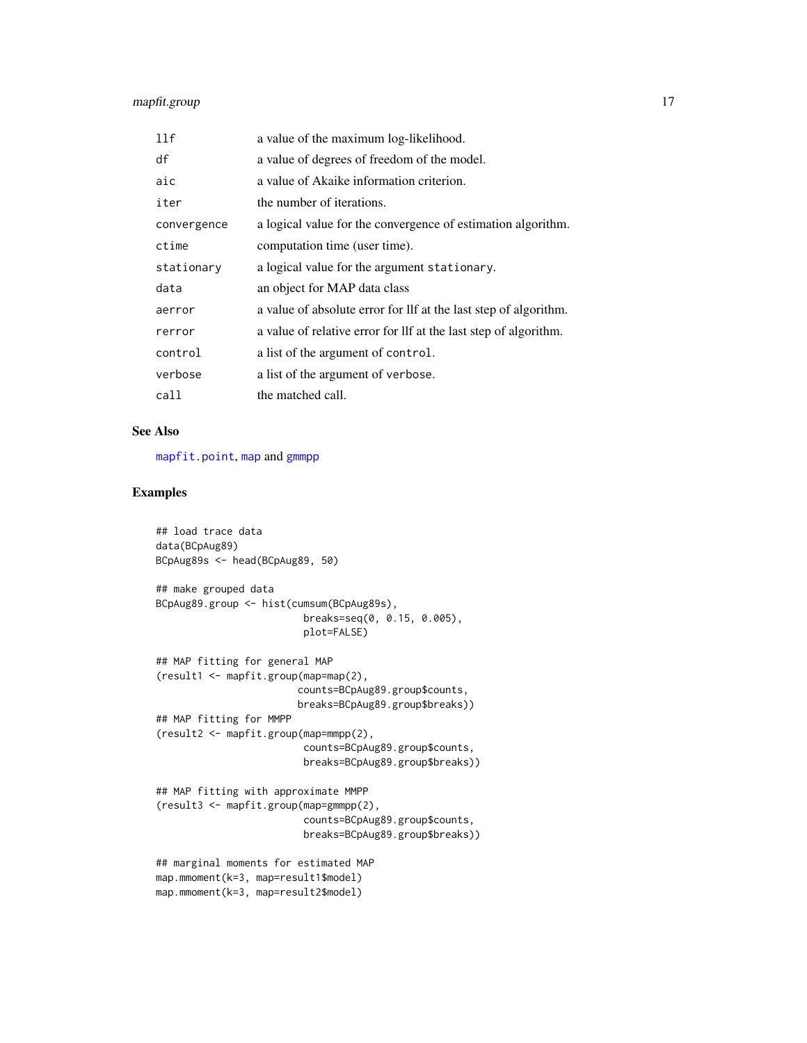# <span id="page-16-0"></span>mapfit.group 17

| 11f         | a value of the maximum log-likelihood.                           |
|-------------|------------------------------------------------------------------|
| df          | a value of degrees of freedom of the model.                      |
| aic         | a value of Akaike information criterion.                         |
| iter        | the number of iterations.                                        |
| convergence | a logical value for the convergence of estimation algorithm.     |
| ctime       | computation time (user time).                                    |
| stationary  | a logical value for the argument stationary.                     |
| data        | an object for MAP data class                                     |
| aerror      | a value of absolute error for lif at the last step of algorithm. |
| rerror      | a value of relative error for lif at the last step of algorithm. |
| control     | a list of the argument of control.                               |
| verbose     | a list of the argument of verbose.                               |
| call        | the matched call.                                                |

#### See Also

[mapfit.point](#page-17-1), [map](#page-12-1) and [gmmpp](#page-12-2)

```
## load trace data
data(BCpAug89)
BCpAug89s <- head(BCpAug89, 50)
## make grouped data
BCpAug89.group <- hist(cumsum(BCpAug89s),
                         breaks=seq(0, 0.15, 0.005),
                         plot=FALSE)
## MAP fitting for general MAP
(result1 <- mapfit.group(map=map(2),
                        counts=BCpAug89.group$counts,
                        breaks=BCpAug89.group$breaks))
## MAP fitting for MMPP
(result2 <- mapfit.group(map=mmpp(2),
                         counts=BCpAug89.group$counts,
                         breaks=BCpAug89.group$breaks))
## MAP fitting with approximate MMPP
(result3 <- mapfit.group(map=gmmpp(2),
                         counts=BCpAug89.group$counts,
                         breaks=BCpAug89.group$breaks))
## marginal moments for estimated MAP
map.mmoment(k=3, map=result1$model)
map.mmoment(k=3, map=result2$model)
```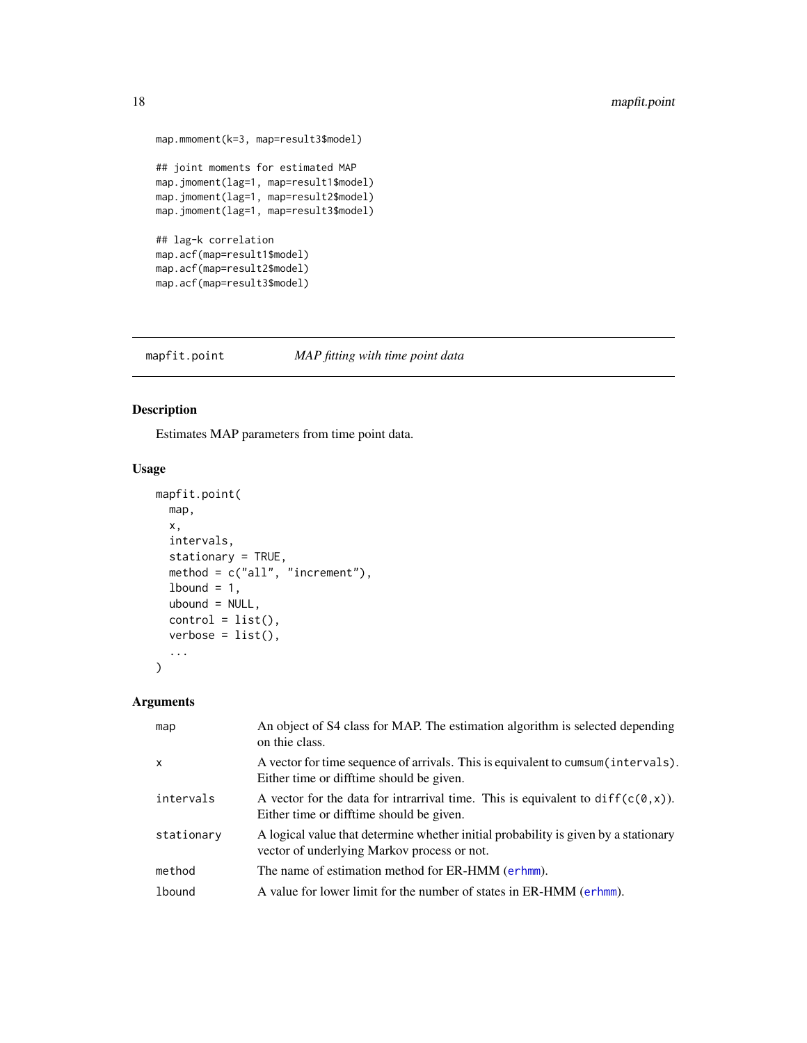```
map.mmoment(k=3, map=result3$model)
## joint moments for estimated MAP
map.jmoment(lag=1, map=result1$model)
map.jmoment(lag=1, map=result2$model)
map.jmoment(lag=1, map=result3$model)
## lag-k correlation
map.acf(map=result1$model)
map.acf(map=result2$model)
map.acf(map=result3$model)
```
<span id="page-17-1"></span>mapfit.point *MAP fitting with time point data*

# Description

Estimates MAP parameters from time point data.

#### Usage

```
mapfit.point(
  map,
  x,
  intervals,
  stationary = TRUE,
  method = c("all", "increment"),1bound = 1,
  ubound = NULL,control = list(),verbose = list(),
  ...
\overline{\phantom{a}}
```
# Arguments

| map           | An object of S4 class for MAP. The estimation algorithm is selected depending<br>on thie class.                                    |
|---------------|------------------------------------------------------------------------------------------------------------------------------------|
| $\mathsf{x}$  | A vector for time sequence of arrivals. This is equivalent to cumsum (intervals).<br>Either time or difftime should be given.      |
| intervals     | A vector for the data for intrarrival time. This is equivalent to $diff(c(0, x))$ .<br>Either time or difftime should be given.    |
| stationary    | A logical value that determine whether initial probability is given by a stationary<br>vector of underlying Markov process or not. |
| method        | The name of estimation method for ER-HMM (erhmm).                                                                                  |
| <b>1bound</b> | A value for lower limit for the number of states in ER-HMM (erhmm).                                                                |
|               |                                                                                                                                    |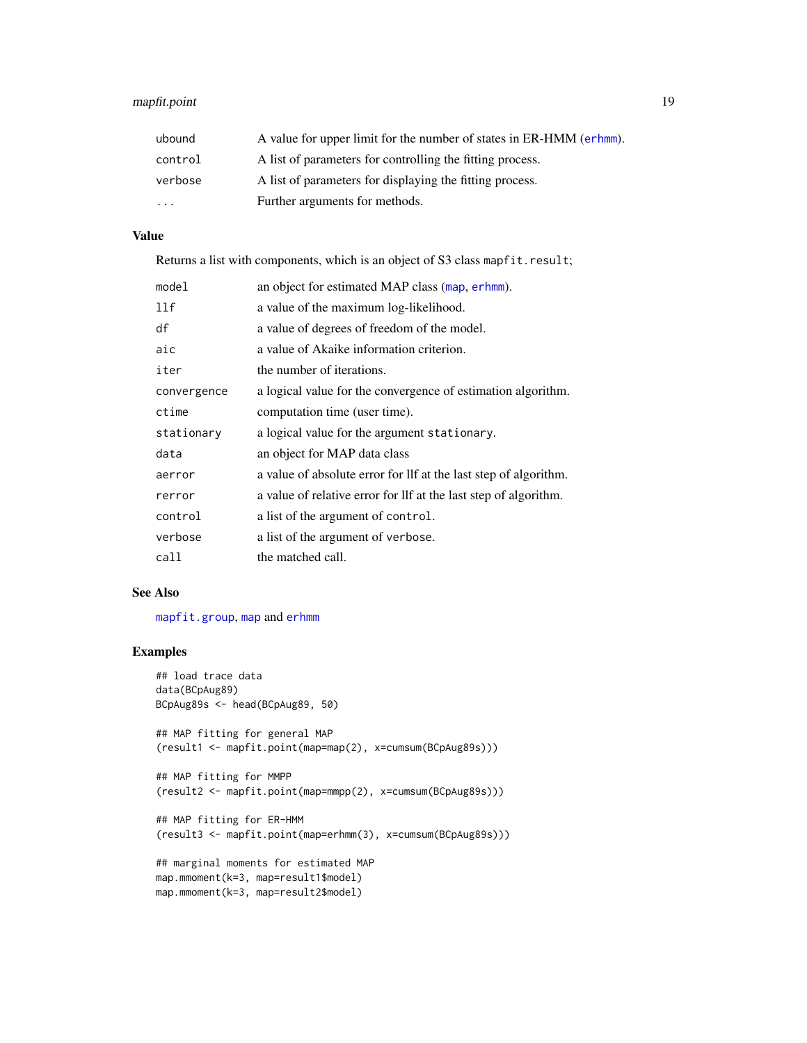# <span id="page-18-0"></span>mapfit.point 19

| ubound   | A value for upper limit for the number of states in ER-HMM (erhmm). |
|----------|---------------------------------------------------------------------|
| control  | A list of parameters for controlling the fitting process.           |
| verbose  | A list of parameters for displaying the fitting process.            |
| $\cdots$ | Further arguments for methods.                                      |

#### Value

Returns a list with components, which is an object of S3 class mapfit.result;

| mode1       | an object for estimated MAP class (map, erhmm).                  |
|-------------|------------------------------------------------------------------|
| 11f         | a value of the maximum log-likelihood.                           |
| df          | a value of degrees of freedom of the model.                      |
| aic         | a value of Akaike information criterion.                         |
| iter        | the number of iterations.                                        |
| convergence | a logical value for the convergence of estimation algorithm.     |
| ctime       | computation time (user time).                                    |
| stationary  | a logical value for the argument stationary.                     |
| data        | an object for MAP data class                                     |
| aerror      | a value of absolute error for lif at the last step of algorithm. |
| rerror      | a value of relative error for lif at the last step of algorithm. |
| control     | a list of the argument of control.                               |
| verbose     | a list of the argument of verbose.                               |
| call        | the matched call.                                                |

# See Also

[mapfit.group](#page-15-1), [map](#page-12-1) and [erhmm](#page-6-1)

```
## load trace data
data(BCpAug89)
BCpAug89s <- head(BCpAug89, 50)
## MAP fitting for general MAP
(result1 <- mapfit.point(map=map(2), x=cumsum(BCpAug89s)))
## MAP fitting for MMPP
(result2 <- mapfit.point(map=mmpp(2), x=cumsum(BCpAug89s)))
## MAP fitting for ER-HMM
(result3 <- mapfit.point(map=erhmm(3), x=cumsum(BCpAug89s)))
## marginal moments for estimated MAP
```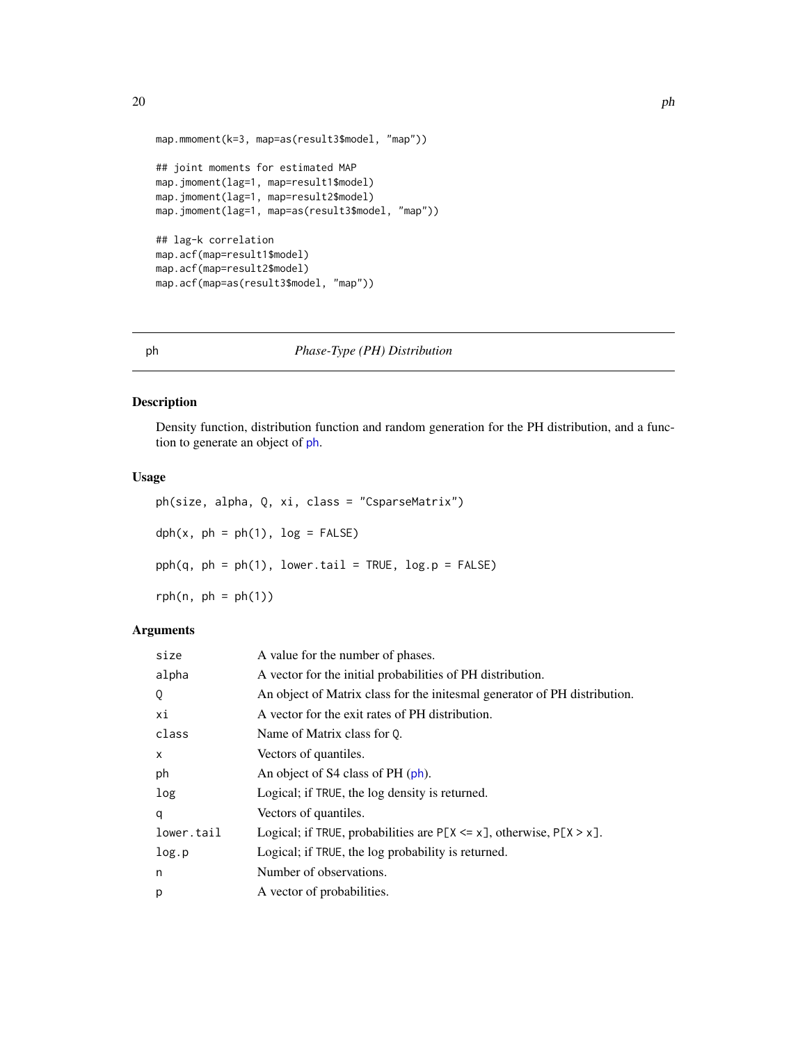```
map.mmoment(k=3, map=as(result3$model, "map"))
## joint moments for estimated MAP
map.jmoment(lag=1, map=result1$model)
map.jmoment(lag=1, map=result2$model)
map.jmoment(lag=1, map=as(result3$model, "map"))
## lag-k correlation
map.acf(map=result1$model)
map.acf(map=result2$model)
map.acf(map=as(result3$model, "map"))
```
<span id="page-19-1"></span>ph *Phase-Type (PH) Distribution*

#### Description

Density function, distribution function and random generation for the PH distribution, and a function to generate an object of [ph](#page-21-1).

# Usage

ph(size, alpha, Q, xi, class = "CsparseMatrix")  $dph(x, ph = ph(1), log = FALSE)$  $pph(q, ph = ph(1), lower.tail = TRUE, log.p = FALSE)$  $rph(n, ph = ph(1))$ 

# Arguments

| size       | A value for the number of phases.                                            |
|------------|------------------------------------------------------------------------------|
| alpha      | A vector for the initial probabilities of PH distribution.                   |
| Q          | An object of Matrix class for the initesmal generator of PH distribution.    |
| хi         | A vector for the exit rates of PH distribution.                              |
| class      | Name of Matrix class for 0.                                                  |
| X          | Vectors of quantiles.                                                        |
| ph         | An object of S4 class of PH (ph).                                            |
| log        | Logical; if TRUE, the log density is returned.                               |
| a          | Vectors of quantiles.                                                        |
| lower.tail | Logical; if TRUE, probabilities are $P[X \le x]$ , otherwise, $P[X \ge x]$ . |
| log.p      | Logical; if TRUE, the log probability is returned.                           |
| n          | Number of observations.                                                      |
| р          | A vector of probabilities.                                                   |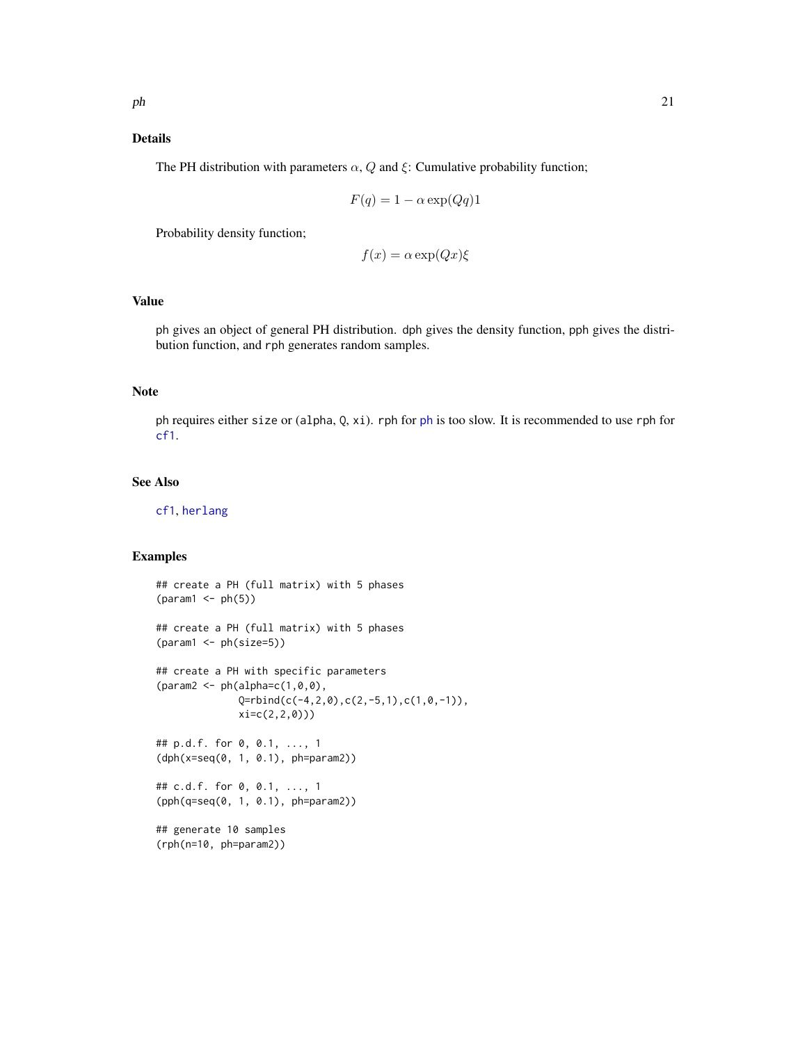#### <span id="page-20-0"></span>Details

The PH distribution with parameters  $\alpha$ , Q and  $\xi$ : Cumulative probability function;

$$
F(q) = 1 - \alpha \exp(Qq)1
$$

Probability density function;

$$
f(x) = \alpha \exp(Qx)\xi
$$

# Value

ph gives an object of general PH distribution. dph gives the density function, pph gives the distribution function, and rph generates random samples.

# Note

ph requires either size or (alpha, Q, xi). rph for [ph](#page-21-1) is too slow. It is recommended to use rph for [cf1](#page-3-1).

#### See Also

[cf1](#page-2-1), [herlang](#page-9-1)

```
## create a PH (full matrix) with 5 phases
(param1 < - ph(5))## create a PH (full matrix) with 5 phases
(param1 <- ph(size=5))
## create a PH with specific parameters
(\text{param2} < - \text{ph}(\text{alpha}=c(1,0,0)),Q=rbind(c(-4,2,0),c(2,-5,1),c(1,0,-1)),
              xi=c(2,2,0)))
## p.d.f. for 0, 0.1, ..., 1
(dph(x=seq(0, 1, 0.1), ph=param2))
## c.d.f. for 0, 0.1, ..., 1
(pph(q=seq(0, 1, 0.1), ph=param2))
## generate 10 samples
(rph(n=10, ph=param2))
```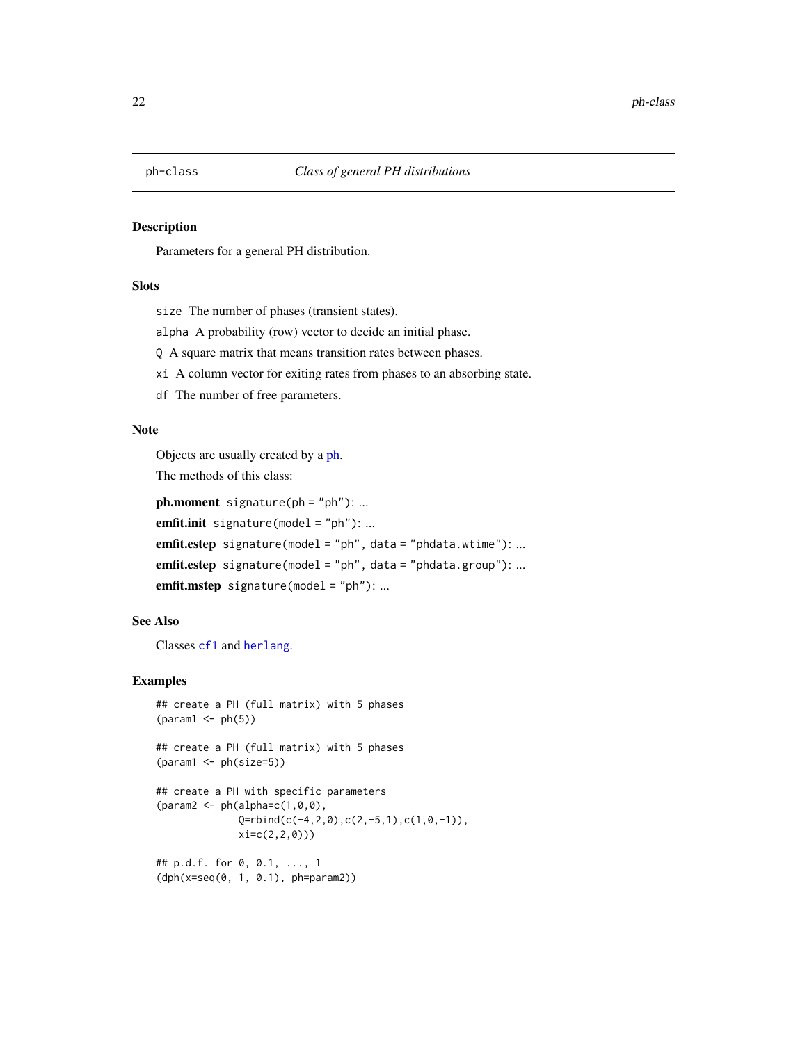<span id="page-21-1"></span><span id="page-21-0"></span>

#### Description

Parameters for a general PH distribution.

#### **Slots**

size The number of phases (transient states).

alpha A probability (row) vector to decide an initial phase.

Q A square matrix that means transition rates between phases.

xi A column vector for exiting rates from phases to an absorbing state.

df The number of free parameters.

# Note

Objects are usually created by a [ph.](#page-19-1)

The methods of this class:

 $ph.moment$  signature( $ph = "ph"$ ): ...

emfit.init signature(model = "ph"): ...

emfit.estep signature(model = "ph", data = "phdata.wtime"): ...

emfit.estep signature(model = "ph", data = "phdata.group"): ...

emfit.mstep signature(model = "ph"): ...

# See Also

Classes [cf1](#page-3-1) and [herlang](#page-11-1).

```
## create a PH (full matrix) with 5 phases
(param1 < - ph(5))## create a PH (full matrix) with 5 phases
(param1 <- ph(size=5))
## create a PH with specific parameters
{\text{qaram2} <= \text{ph}(\text{alpha}=c(1,0,0))}Q=rbind(c(-4,2,0),c(2,-5,1),c(1,0,-1)),xi=c(2,2,0)))
## p.d.f. for 0, 0.1, ..., 1
(dph(x=seq(0, 1, 0.1), ph=param2))
```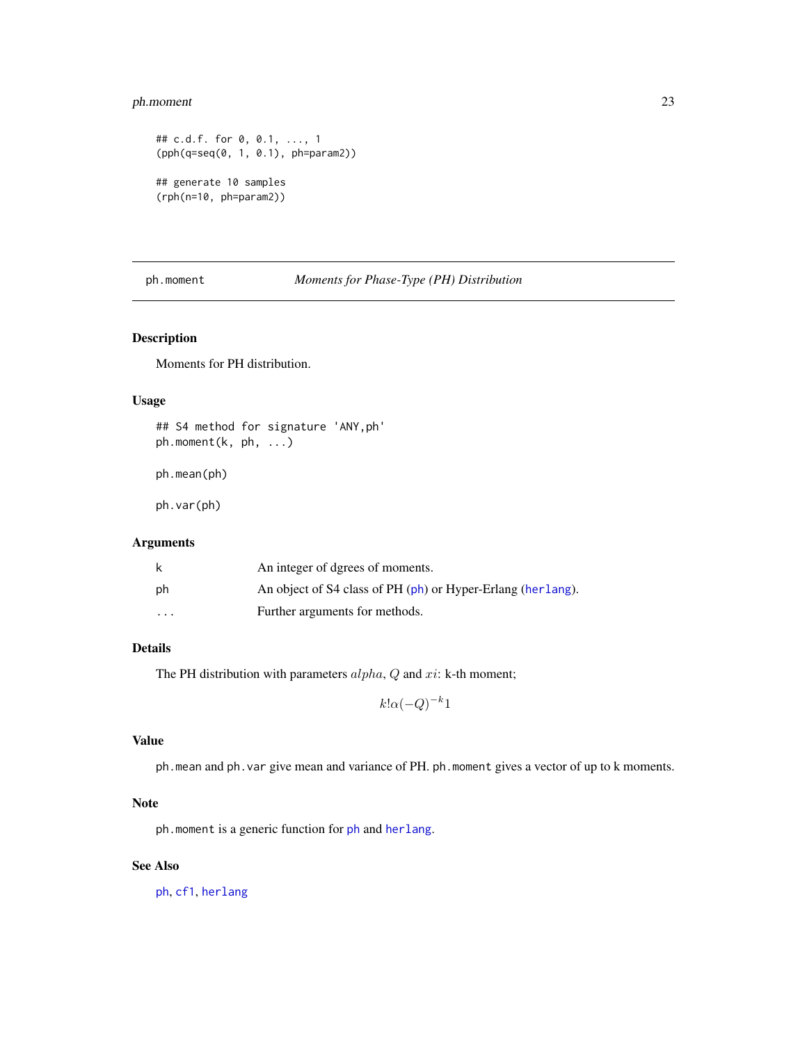# <span id="page-22-0"></span>ph.moment 23

```
## c.d.f. for 0, 0.1, ..., 1
(pph(q=seq(0, 1, 0.1), ph=param2))
## generate 10 samples
(rph(n=10, ph=param2))
```
<span id="page-22-1"></span>ph.moment *Moments for Phase-Type (PH) Distribution*

# Description

Moments for PH distribution.

#### Usage

```
## S4 method for signature 'ANY,ph'
ph.moment(k, ph, ...)
```
ph.mean(ph)

ph.var(ph)

# Arguments

| k                       | An integer of dgrees of moments.                            |
|-------------------------|-------------------------------------------------------------|
| ph                      | An object of S4 class of PH (ph) or Hyper-Erlang (herlang). |
| $\cdot$ $\cdot$ $\cdot$ | Further arguments for methods.                              |

# Details

The PH distribution with parameters  $alpha$ , Q and xi: k-th moment;

$$
k! \alpha(-Q)^{-k}1
$$

#### Value

ph.mean and ph.var give mean and variance of PH. ph.moment gives a vector of up to k moments.

# Note

ph.moment is a generic function for [ph](#page-21-1) and [herlang](#page-11-1).

#### See Also

[ph](#page-19-1), [cf1](#page-2-1), [herlang](#page-9-1)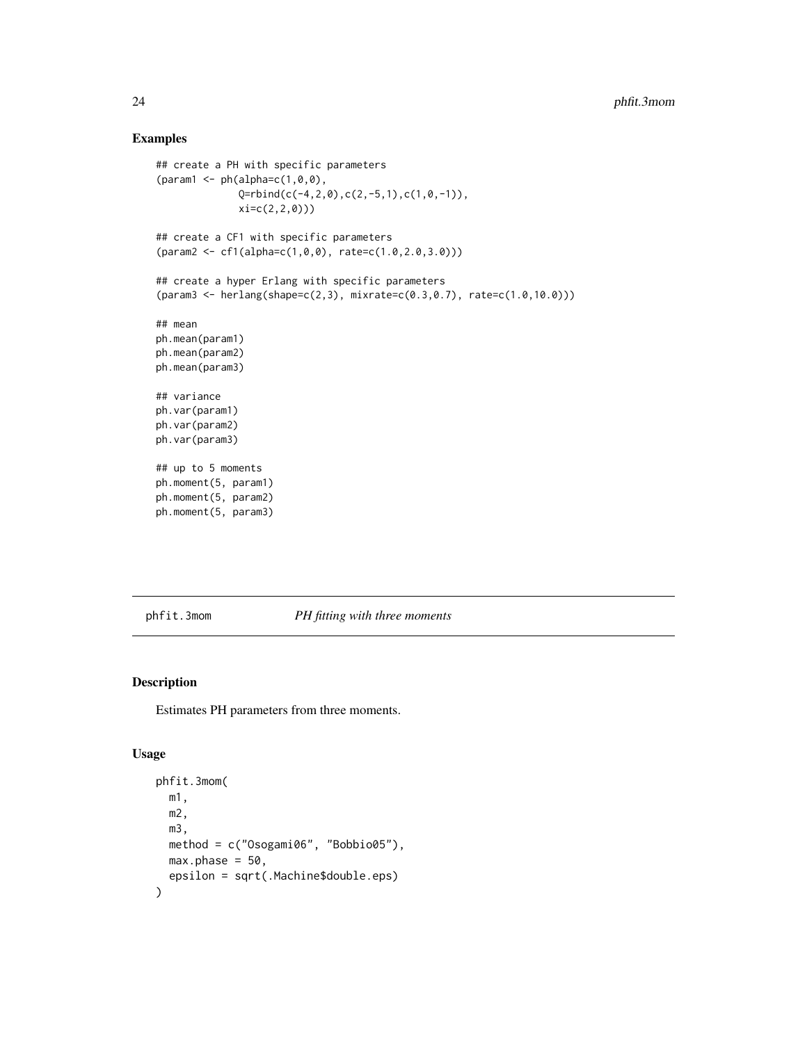#### Examples

```
## create a PH with specific parameters
(param1 < -ph(alpha=c(1,0,0),Q = r \text{bind}(c(-4, 2, 0), c(2, -5, 1), c(1, 0, -1)),xi=c(2,2,0)))
## create a CF1 with specific parameters
(param2 <- cf1(alpha=c(1,0,0), rate=c(1.0,2.0,3.0)))
## create a hyper Erlang with specific parameters
(param3 <- herlang(shape=c(2,3), mixrate=c(0.3,0.7), rate=c(1.0,10.0)))
## mean
ph.mean(param1)
ph.mean(param2)
ph.mean(param3)
## variance
ph.var(param1)
ph.var(param2)
ph.var(param3)
## up to 5 moments
ph.moment(5, param1)
ph.moment(5, param2)
ph.moment(5, param3)
```
phfit.3mom *PH fitting with three moments*

#### Description

Estimates PH parameters from three moments.

#### Usage

```
phfit.3mom(
 m1,
 m2,
 m3,
 method = c("Osogami06", "Bobbio05"),
 max.phase = 50,
  epsilon = sqrt(.Machine$double.eps)
)
```
<span id="page-23-0"></span>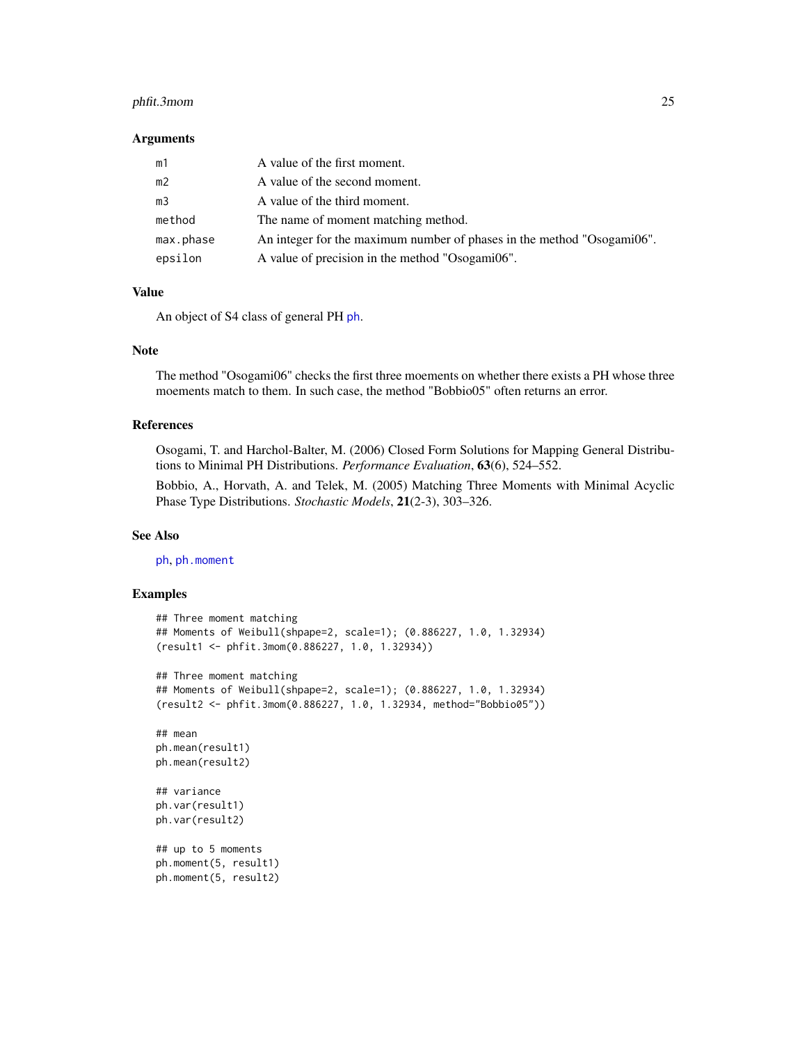# <span id="page-24-0"></span>phfit.3mom 25

#### Arguments

| m1             | A value of the first moment.                                           |
|----------------|------------------------------------------------------------------------|
| m <sub>2</sub> | A value of the second moment.                                          |
| m <sub>3</sub> | A value of the third moment.                                           |
| method         | The name of moment matching method.                                    |
| max.phase      | An integer for the maximum number of phases in the method "Osogami06". |
| epsilon        | A value of precision in the method "Osogami06".                        |

#### Value

An object of S4 class of general PH [ph](#page-21-1).

#### Note

The method "Osogami06" checks the first three moements on whether there exists a PH whose three moements match to them. In such case, the method "Bobbio05" often returns an error.

#### References

Osogami, T. and Harchol-Balter, M. (2006) Closed Form Solutions for Mapping General Distributions to Minimal PH Distributions. *Performance Evaluation*, 63(6), 524–552.

Bobbio, A., Horvath, A. and Telek, M. (2005) Matching Three Moments with Minimal Acyclic Phase Type Distributions. *Stochastic Models*, 21(2-3), 303–326.

#### See Also

[ph](#page-21-1), [ph.moment](#page-22-1)

```
## Three moment matching
## Moments of Weibull(shpape=2, scale=1); (0.886227, 1.0, 1.32934)
(result1 <- phfit.3mom(0.886227, 1.0, 1.32934))
## Three moment matching
## Moments of Weibull(shpape=2, scale=1); (0.886227, 1.0, 1.32934)
(result2 <- phfit.3mom(0.886227, 1.0, 1.32934, method="Bobbio05"))
## mean
ph.mean(result1)
ph.mean(result2)
## variance
ph.var(result1)
ph.var(result2)
## up to 5 moments
ph.moment(5, result1)
ph.moment(5, result2)
```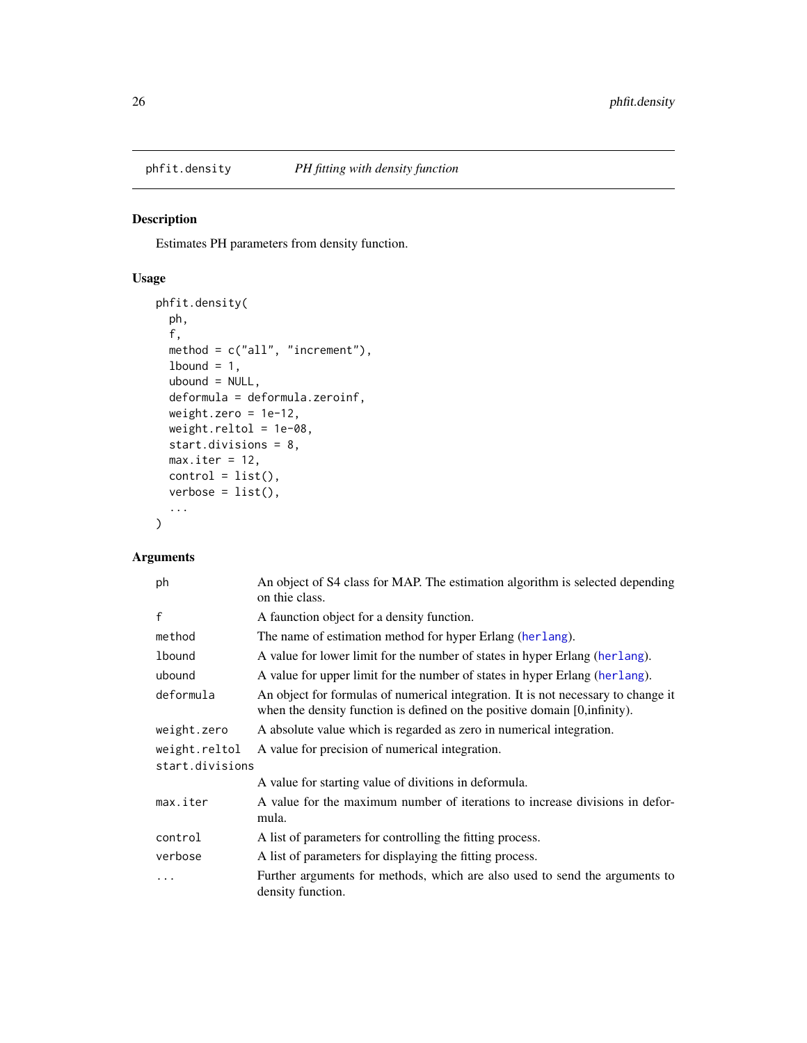<span id="page-25-1"></span><span id="page-25-0"></span>

#### Description

Estimates PH parameters from density function.

# Usage

```
phfit.density(
 ph,
  f,
 method = c("all", "increment"),
 1bound = 1,
 ubound = NULL,
  deformula = deformula.zeroinf,
 weight.zero = 1e-12,
 weight.reltol = 1e-08,
  start.divisions = 8,
 max.iter = 12,
 control = list(),verbose = list(),
  ...
)
```
# Arguments

| ph                               | An object of S4 class for MAP. The estimation algorithm is selected depending<br>on thie class.                                                                 |
|----------------------------------|-----------------------------------------------------------------------------------------------------------------------------------------------------------------|
| $\mathsf{f}$                     | A faunction object for a density function.                                                                                                                      |
| method                           | The name of estimation method for hyper Erlang (herlang).                                                                                                       |
| lbound                           | A value for lower limit for the number of states in hyper Erlang (herlang).                                                                                     |
| ubound                           | A value for upper limit for the number of states in hyper Erlang (herlang).                                                                                     |
| deformula                        | An object for formulas of numerical integration. It is not necessary to change it<br>when the density function is defined on the positive domain [0, infinity]. |
| weight.zero                      | A absolute value which is regarded as zero in numerical integration.                                                                                            |
| weight.reltol<br>start.divisions | A value for precision of numerical integration.                                                                                                                 |
|                                  | A value for starting value of divitions in deformula.                                                                                                           |
| max.iter                         | A value for the maximum number of iterations to increase divisions in defor-<br>mula.                                                                           |
| control                          | A list of parameters for controlling the fitting process.                                                                                                       |
| verbose                          | A list of parameters for displaying the fitting process.                                                                                                        |
| .                                | Further arguments for methods, which are also used to send the arguments to<br>density function.                                                                |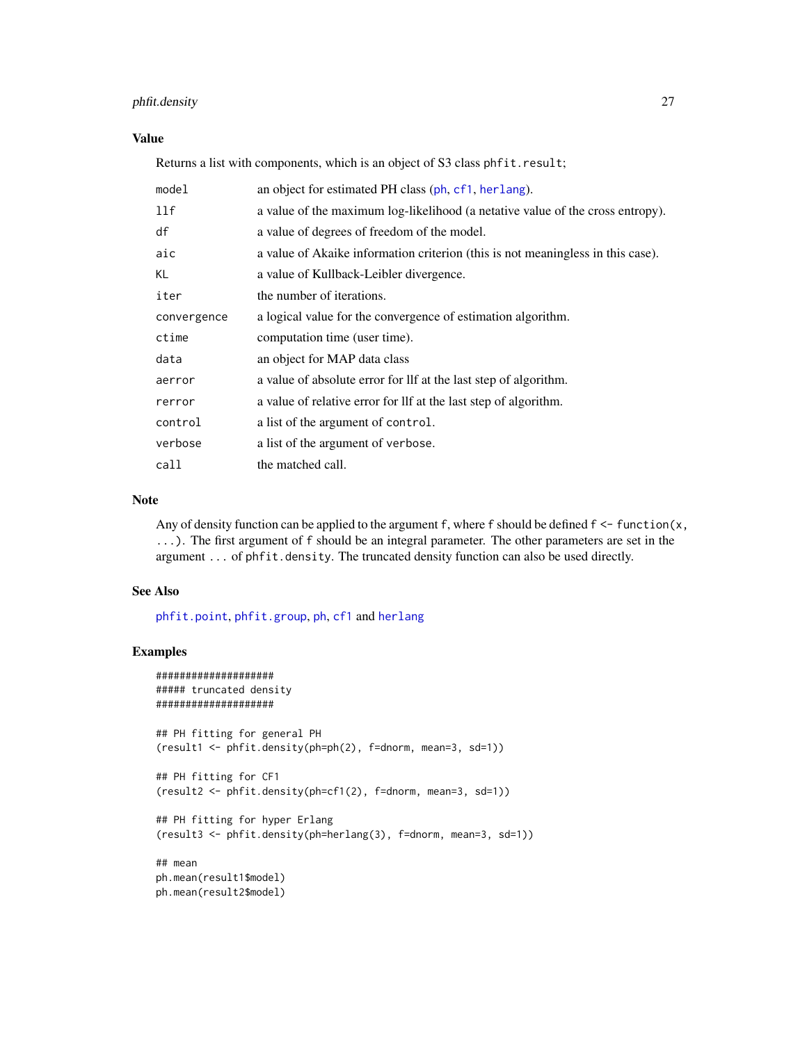# <span id="page-26-0"></span>phfit.density 27

#### Value

Returns a list with components, which is an object of S3 class phfit.result;

| model       | an object for estimated PH class (ph, cf1, herlang).                            |
|-------------|---------------------------------------------------------------------------------|
| 11f         | a value of the maximum log-likelihood (a netative value of the cross entropy).  |
| df          | a value of degrees of freedom of the model.                                     |
| aic         | a value of Akaike information criterion (this is not meaningless in this case). |
| KL          | a value of Kullback-Leibler divergence.                                         |
| iter        | the number of iterations.                                                       |
| convergence | a logical value for the convergence of estimation algorithm.                    |
| ctime       | computation time (user time).                                                   |
| data        | an object for MAP data class                                                    |
| aerror      | a value of absolute error for lif at the last step of algorithm.                |
| rerror      | a value of relative error for lif at the last step of algorithm.                |
| control     | a list of the argument of control.                                              |
| verbose     | a list of the argument of verbose.                                              |
| call        | the matched call.                                                               |

# Note

Any of density function can be applied to the argument f, where f should be defined  $f \leq -f$  function $(x,$ ...). The first argument of f should be an integral parameter. The other parameters are set in the argument ... of phfit.density. The truncated density function can also be used directly.

#### See Also

[phfit.point](#page-29-1), [phfit.group](#page-27-1), [ph](#page-21-1), [cf1](#page-3-1) and [herlang](#page-11-1)

```
####################
##### truncated density
####################
## PH fitting for general PH
(result1 <- phfit.density(ph=ph(2), f=dnorm, mean=3, sd=1))
## PH fitting for CF1
(result2 <- phfit.density(ph=cf1(2), f=dnorm, mean=3, sd=1))
## PH fitting for hyper Erlang
(result3 <- phfit.density(ph=herlang(3), f=dnorm, mean=3, sd=1))
## mean
ph.mean(result1$model)
ph.mean(result2$model)
```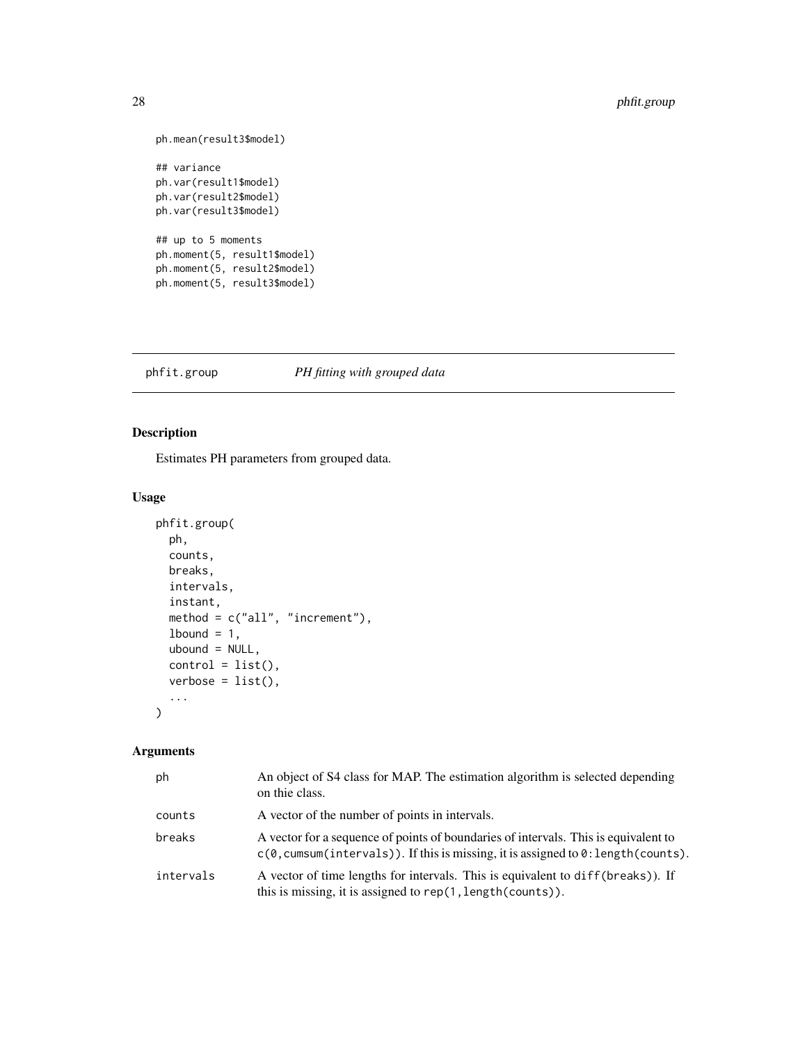```
ph.mean(result3$model)
## variance
ph.var(result1$model)
ph.var(result2$model)
ph.var(result3$model)
## up to 5 moments
ph.moment(5, result1$model)
ph.moment(5, result2$model)
ph.moment(5, result3$model)
```
# <span id="page-27-1"></span>phfit.group *PH fitting with grouped data*

# Description

Estimates PH parameters from grouped data.

# Usage

```
phfit.group(
 ph,
  counts,
 breaks,
  intervals,
  instant,
 method = c("all", "increment"),
  1bound = 1,
 ubound = NULL,
  control = list(),verbose = list(),
  ...
\mathcal{L}
```
# Arguments

| ph        | An object of S4 class for MAP. The estimation algorithm is selected depending<br>on thie class.                                                                                                       |
|-----------|-------------------------------------------------------------------------------------------------------------------------------------------------------------------------------------------------------|
| counts    | A vector of the number of points in intervals.                                                                                                                                                        |
| breaks    | A vector for a sequence of points of boundaries of intervals. This is equivalent to<br>$c(\theta, \text{cumsum}(\text{intervals})).$ If this is missing, it is assigned to $\theta$ : length(counts). |
| intervals | A vector of time lengths for intervals. This is equivalent to diff(breaks)). If<br>this is missing, it is assigned to rep(1, length(counts)).                                                         |

<span id="page-27-0"></span>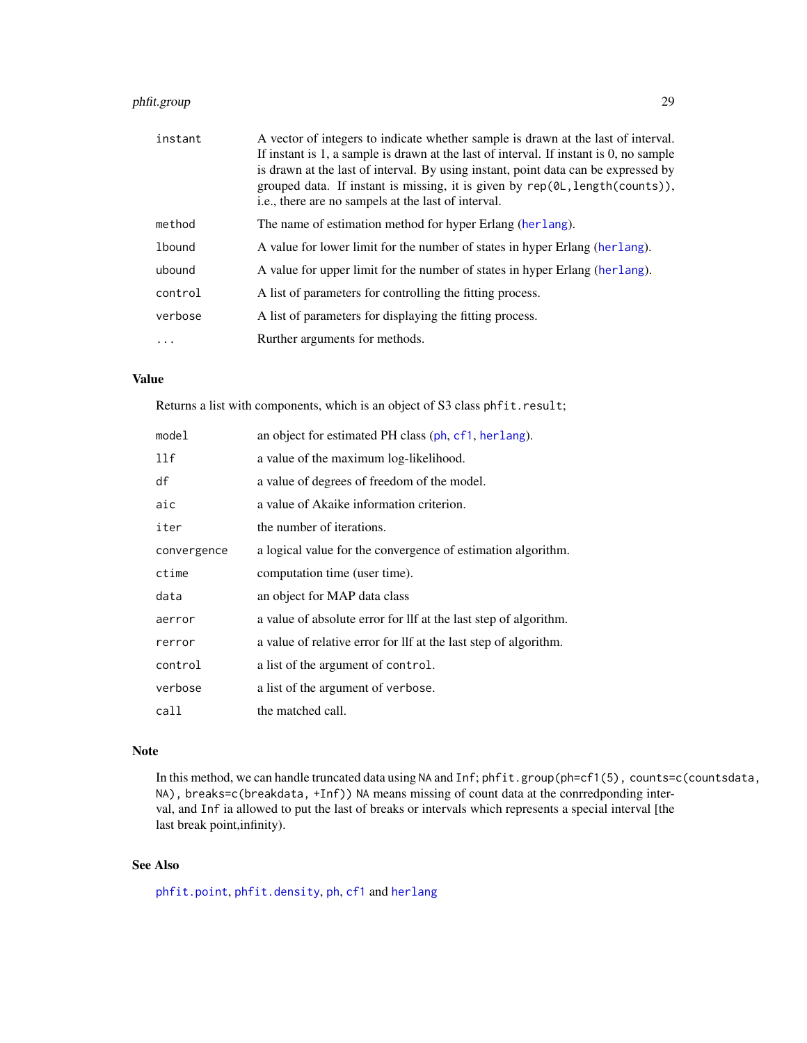# <span id="page-28-0"></span>phfit.group 29

| instant       | A vector of integers to indicate whether sample is drawn at the last of interval.<br>If instant is 1, a sample is drawn at the last of interval. If instant is 0, no sample<br>is drawn at the last of interval. By using instant, point data can be expressed by<br>grouped data. If instant is missing, it is given by rep(0L, length(counts)),<br>i.e., there are no sampels at the last of interval. |
|---------------|----------------------------------------------------------------------------------------------------------------------------------------------------------------------------------------------------------------------------------------------------------------------------------------------------------------------------------------------------------------------------------------------------------|
| method        | The name of estimation method for hyper Erlang (herlang).                                                                                                                                                                                                                                                                                                                                                |
| <b>lbound</b> | A value for lower limit for the number of states in hyper Erlang (herlang).                                                                                                                                                                                                                                                                                                                              |
| ubound        | A value for upper limit for the number of states in hyper Erlang (herlang).                                                                                                                                                                                                                                                                                                                              |
| control       | A list of parameters for controlling the fitting process.                                                                                                                                                                                                                                                                                                                                                |
| verbose       | A list of parameters for displaying the fitting process.                                                                                                                                                                                                                                                                                                                                                 |
|               | Rurther arguments for methods.                                                                                                                                                                                                                                                                                                                                                                           |

#### Value

Returns a list with components, which is an object of S3 class phfit.result;

| model       | an object for estimated PH class (ph, cf1, herlang).             |
|-------------|------------------------------------------------------------------|
| 11f         | a value of the maximum log-likelihood.                           |
| df          | a value of degrees of freedom of the model.                      |
| aic         | a value of Akaike information criterion.                         |
| iter        | the number of iterations.                                        |
| convergence | a logical value for the convergence of estimation algorithm.     |
| ctime       | computation time (user time).                                    |
| data        | an object for MAP data class                                     |
| aerror      | a value of absolute error for llf at the last step of algorithm. |
| rerror      | a value of relative error for lif at the last step of algorithm. |
| control     | a list of the argument of control.                               |
| verbose     | a list of the argument of verbose.                               |
| call        | the matched call.                                                |

#### Note

In this method, we can handle truncated data using NA and Inf; phfit.group(ph=cf1(5), counts=c(countsdata, NA), breaks=c(breakdata, +Inf)) NA means missing of count data at the conrredponding interval, and Inf ia allowed to put the last of breaks or intervals which represents a special interval [the last break point,infinity).

# See Also

[phfit.point](#page-29-1), [phfit.density](#page-25-1), [ph](#page-21-1), [cf1](#page-3-1) and [herlang](#page-11-1)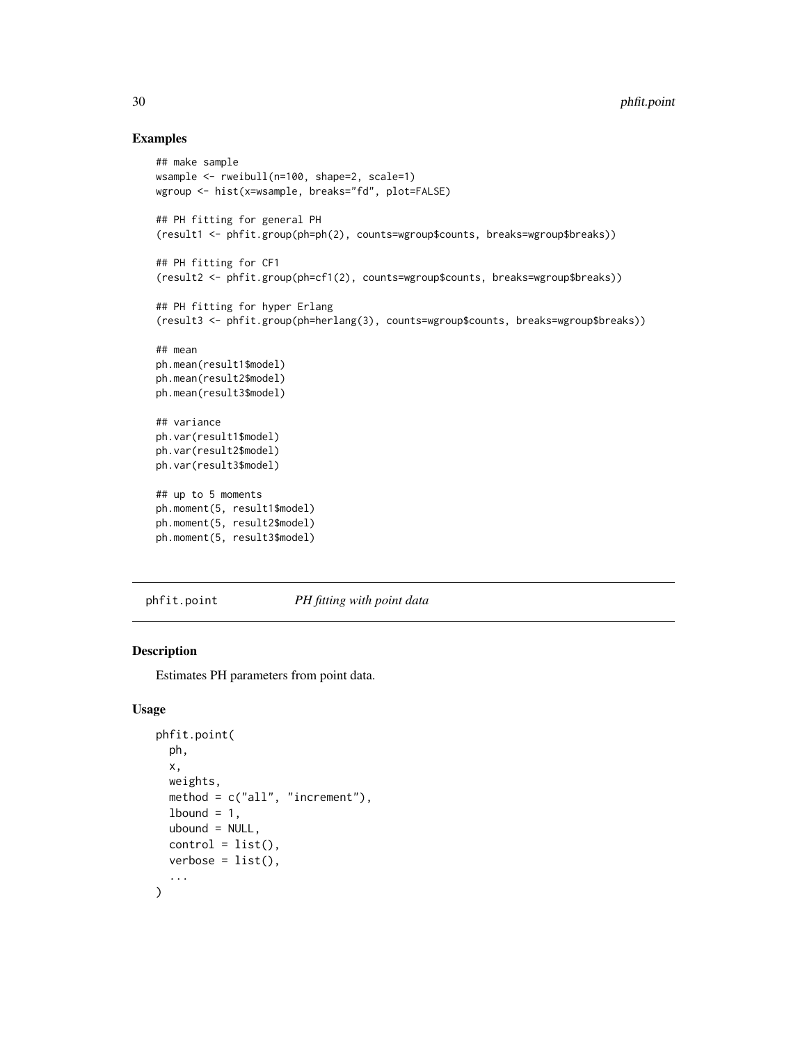#### Examples

```
## make sample
wsample <- rweibull(n=100, shape=2, scale=1)
wgroup <- hist(x=wsample, breaks="fd", plot=FALSE)
## PH fitting for general PH
(result1 <- phfit.group(ph=ph(2), counts=wgroup$counts, breaks=wgroup$breaks))
## PH fitting for CF1
(result2 <- phfit.group(ph=cf1(2), counts=wgroup$counts, breaks=wgroup$breaks))
## PH fitting for hyper Erlang
(result3 <- phfit.group(ph=herlang(3), counts=wgroup$counts, breaks=wgroup$breaks))
## mean
ph.mean(result1$model)
ph.mean(result2$model)
ph.mean(result3$model)
## variance
ph.var(result1$model)
ph.var(result2$model)
ph.var(result3$model)
## up to 5 moments
ph.moment(5, result1$model)
ph.moment(5, result2$model)
ph.moment(5, result3$model)
```
<span id="page-29-1"></span>

phfit.point *PH fitting with point data*

# Description

Estimates PH parameters from point data.

#### Usage

```
phfit.point(
  ph,
  x,
  weights,
 method = c("all", "increment"),
  1bound = 1,
  ubound = NULL,control = list(),
  verbose = list(),...
)
```
<span id="page-29-0"></span>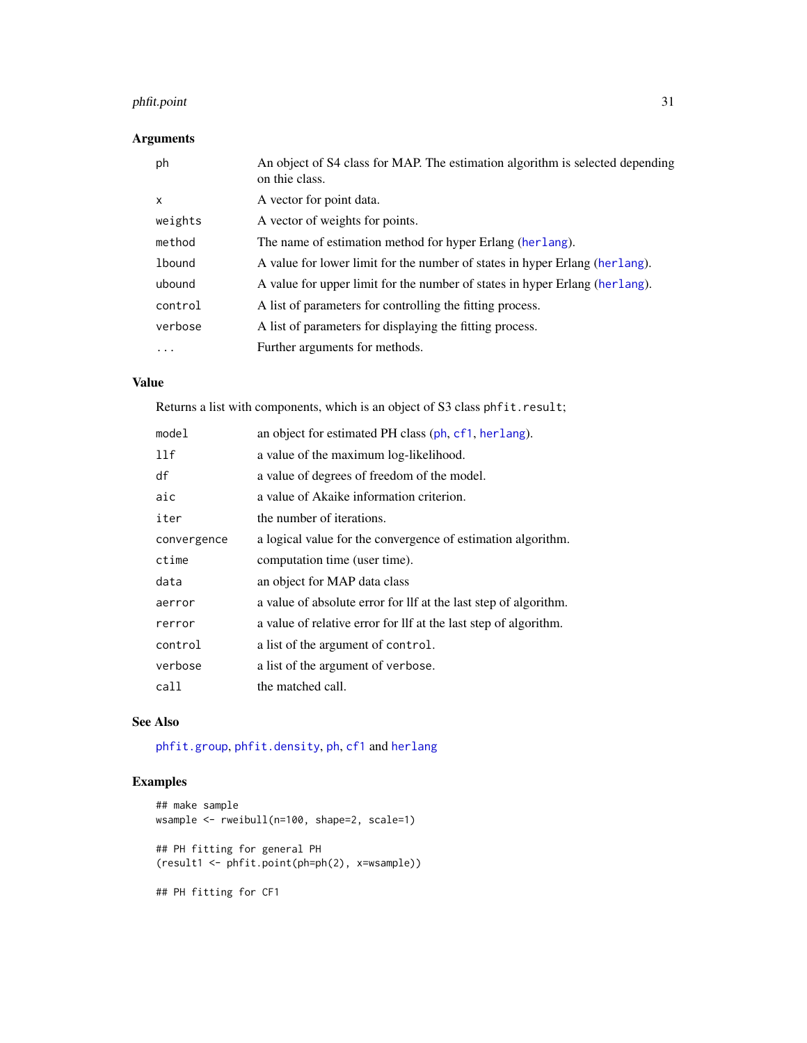# <span id="page-30-0"></span>phfit.point 31

# Arguments

| ph            | An object of S4 class for MAP. The estimation algorithm is selected depending<br>on thie class. |
|---------------|-------------------------------------------------------------------------------------------------|
| X             | A vector for point data.                                                                        |
| weights       | A vector of weights for points.                                                                 |
| method        | The name of estimation method for hyper Erlang (herlang).                                       |
| <b>lbound</b> | A value for lower limit for the number of states in hyper Erlang (herlang).                     |
| ubound        | A value for upper limit for the number of states in hyper Erlang (herlang).                     |
| control       | A list of parameters for controlling the fitting process.                                       |
| verbose       | A list of parameters for displaying the fitting process.                                        |
| $\cdots$      | Further arguments for methods.                                                                  |

# Value

Returns a list with components, which is an object of S3 class phfit.result;

| model       | an object for estimated PH class (ph, cf1, herlang).             |
|-------------|------------------------------------------------------------------|
| 11f         | a value of the maximum log-likelihood.                           |
| df          | a value of degrees of freedom of the model.                      |
| aic         | a value of Akaike information criterion.                         |
| iter        | the number of iterations.                                        |
| convergence | a logical value for the convergence of estimation algorithm.     |
| ctime       | computation time (user time).                                    |
| data        | an object for MAP data class                                     |
| aerror      | a value of absolute error for lif at the last step of algorithm. |
| rerror      | a value of relative error for lif at the last step of algorithm. |
| control     | a list of the argument of control.                               |
| verbose     | a list of the argument of verbose.                               |
| call        | the matched call.                                                |

# See Also

[phfit.group](#page-27-1), [phfit.density](#page-25-1), [ph](#page-21-1), [cf1](#page-3-1) and [herlang](#page-11-1)

```
## make sample
wsample <- rweibull(n=100, shape=2, scale=1)
## PH fitting for general PH
(result1 <- phfit.point(ph=ph(2), x=wsample))
## PH fitting for CF1
```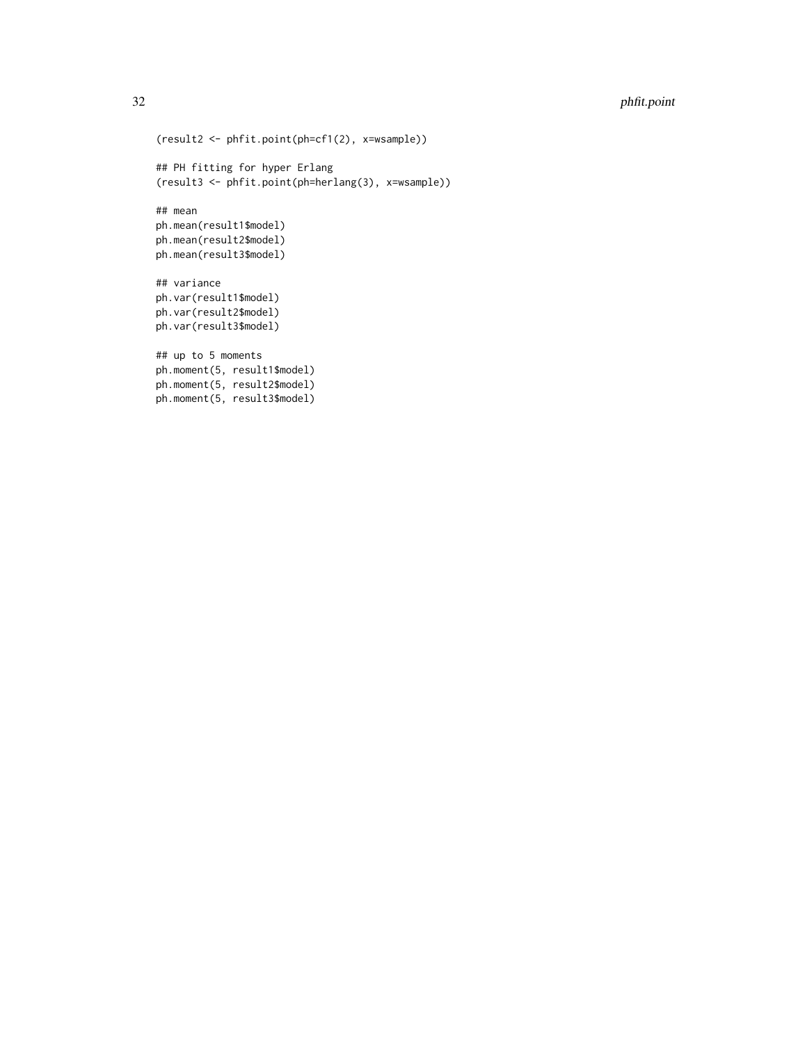# 32 phfit.point

```
(result2 <- phfit.point(ph=cf1(2), x=wsample))
## PH fitting for hyper Erlang
(result3 <- phfit.point(ph=herlang(3), x=wsample))
## mean
ph.mean(result1$model)
ph.mean(result2$model)
ph.mean(result3$model)
## variance
ph.var(result1$model)
ph.var(result2$model)
ph.var(result3$model)
## up to 5 moments
ph.moment(5, result1$model)
ph.moment(5, result2$model)
ph.moment(5, result3$model)
```